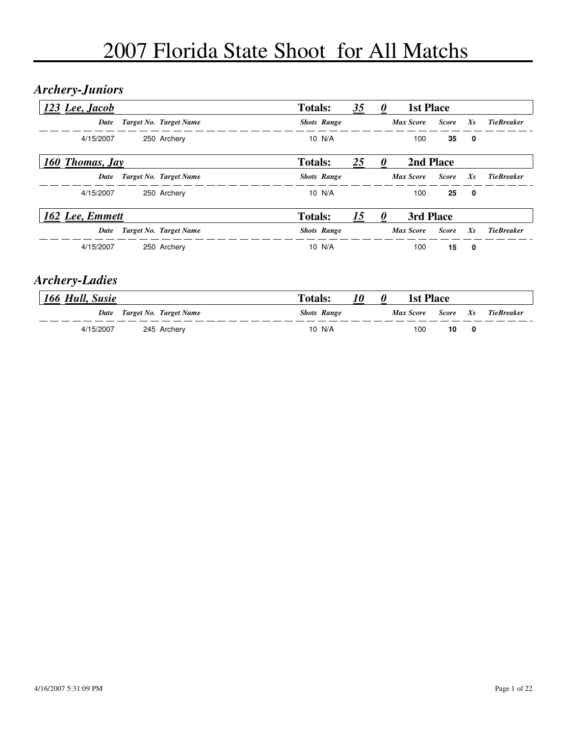#### *Archery-Juniors*

| 123 Lee, Jacob  |                        | <b>Totals:</b>     | 35 | 1st Place        |              |         |                   |
|-----------------|------------------------|--------------------|----|------------------|--------------|---------|-------------------|
| Date            | Target No. Target Name | <b>Shots Range</b> |    | <b>Max Score</b> | <b>Score</b> | $X_{S}$ | <b>TieBreaker</b> |
| 4/15/2007       | 250 Archery            | 10 $N/A$           |    | 100              | 35           | 0       |                   |
| 160 Thomas, Jay |                        | <b>Totals:</b>     | 25 | 2nd Place        |              |         |                   |
| Date            | Target No. Target Name | <b>Shots Range</b> |    | <b>Max Score</b> | <b>Score</b> | $X_{S}$ | <b>TieBreaker</b> |
| 4/15/2007       | 250 Archery            | 10 N/A             |    | 100              | 25           | 0       |                   |
| 162 Lee, Emmett |                        | <b>Totals:</b>     | 15 | 3rd Place        |              |         |                   |
| Date            | Target No. Target Name | <b>Shots Range</b> |    | <b>Max Score</b> | <b>Score</b> | $X_{S}$ | <b>TieBreaker</b> |
| 4/15/2007       | 250 Archery            | 10 N/A             |    | 100              | 15           | 0       |                   |

#### *Archery-Ladies*

| 166 Hull, Susie |                             | <b>Totals:</b>     | <i>10</i> | 1st Place |          |   |             |
|-----------------|-----------------------------|--------------------|-----------|-----------|----------|---|-------------|
|                 | Date Target No. Target Name | <b>Shots Range</b> |           | Max Score | Score Xs |   | Tie Breaker |
| 4/15/2007       | 245 Archery                 | 10 N/A             |           | 100       | 10       | 0 |             |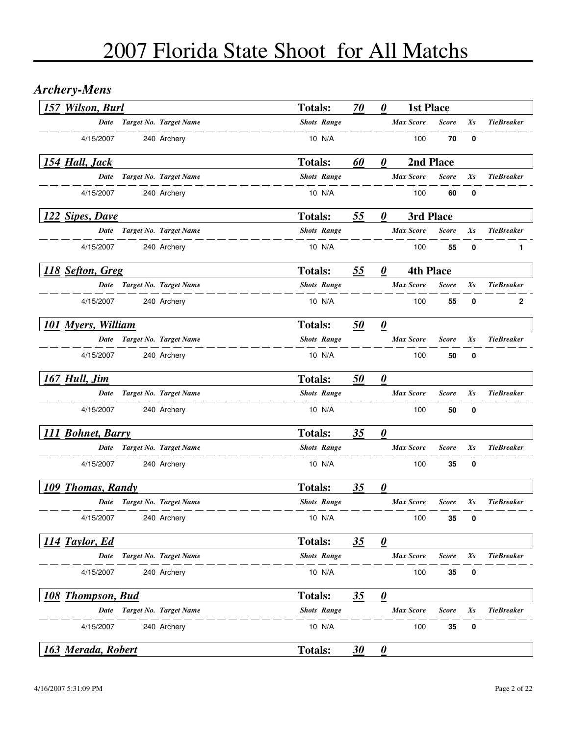## *Archery-Mens*

| 157 Wilson, Burl          |                             | <b>Totals:</b>     | 70        | $\boldsymbol{\theta}$             | <b>1st Place</b> |              |             |                   |
|---------------------------|-----------------------------|--------------------|-----------|-----------------------------------|------------------|--------------|-------------|-------------------|
|                           | Date Target No. Target Name | <b>Shots Range</b> |           |                                   | <b>Max Score</b> | <b>Score</b> | Xs          | <b>TieBreaker</b> |
| 4/15/2007                 | 240 Archery                 | 10 N/A             |           |                                   | 100              | 70           | 0           |                   |
| 154 Hall, Jack            |                             | <b>Totals:</b>     | 60        | 0                                 |                  | 2nd Place    |             |                   |
| Date                      | Target No. Target Name      | <b>Shots Range</b> |           |                                   | <b>Max Score</b> | <b>Score</b> | Xs          | <b>TieBreaker</b> |
| 4/15/2007                 | 240 Archery                 | 10 N/A             |           |                                   | 100              | 60           | 0           |                   |
| 122 Sipes, Dave           |                             | <b>Totals:</b>     | 55        | 0                                 |                  | 3rd Place    |             |                   |
|                           | Date Target No. Target Name | <b>Shots Range</b> |           |                                   | <b>Max Score</b> | <b>Score</b> | Xs          | <b>TieBreaker</b> |
| 4/15/2007                 | 240 Archery                 | 10 N/A             |           |                                   | 100              | 55           | $\mathbf 0$ | 1                 |
| 118 Sefton, Greg          |                             | <b>Totals:</b>     | 55        | $\boldsymbol{\theta}$             | <b>4th Place</b> |              |             |                   |
|                           | Date Target No. Target Name | <b>Shots Range</b> |           |                                   | <b>Max Score</b> | <b>Score</b> | Xs          | <b>TieBreaker</b> |
| 4/15/2007                 | 240 Archery                 | 10 N/A             |           |                                   | 100              | 55           | 0           | $\mathbf{2}$      |
| <b>101 Myers, William</b> |                             | <b>Totals:</b>     | 50        | $\boldsymbol{\theta}$             |                  |              |             |                   |
| Date                      | Target No. Target Name      | <b>Shots Range</b> |           |                                   | <b>Max Score</b> | <b>Score</b> | Xs          | <b>TieBreaker</b> |
| 4/15/2007                 | 240 Archery                 | 10 N/A             |           |                                   | 100              | 50           | 0           |                   |
| 167 Hull, Jim             |                             | <b>Totals:</b>     | 50        | $\boldsymbol{\theta}$             |                  |              |             |                   |
| <b>Date</b>               | Target No. Target Name      | <b>Shots Range</b> |           |                                   | <b>Max Score</b> | <b>Score</b> | $X_{S}$     | <b>TieBreaker</b> |
| 4/15/2007                 | 240 Archery                 | 10 N/A             |           |                                   | 100              | 50           | 0           |                   |
| 111 Bohnet, Barry         |                             | <b>Totals:</b>     | 35        | $\boldsymbol{\theta}$             |                  |              |             |                   |
|                           | Date Target No. Target Name | <b>Shots Range</b> |           |                                   | <b>Max Score</b> | Score        | Xs          | <b>TieBreaker</b> |
| 4/15/2007                 | 240 Archery                 | 10 N/A             |           |                                   | 100              | 35           | 0           |                   |
| 109 Thomas, Randy         |                             | <b>Totals:</b>     | 35        | $\boldsymbol{\theta}$             |                  |              |             |                   |
| Date                      | Target No. Target Name      | <b>Shots Range</b> |           |                                   | <b>Max Score</b> | Score        | Xs          | <b>TieBreaker</b> |
| 4/15/2007                 | 240 Archery                 | 10 N/A             |           |                                   | 100              | 35           | 0           |                   |
| 114 Taylor, Ed            |                             | <b>Totals:</b>     | 35        | $\boldsymbol{\theta}$             |                  |              |             |                   |
| Date                      | Target No. Target Name      | <b>Shots Range</b> |           |                                   | <b>Max Score</b> | <b>Score</b> | Xs          | <b>TieBreaker</b> |
| 4/15/2007                 | 240 Archery                 | 10 N/A             |           |                                   | 100              | 35           | 0           |                   |
| 108 Thompson, Bud         |                             | <b>Totals:</b>     | 35        | $\boldsymbol{\theta}$             |                  |              |             |                   |
| Date                      | Target No. Target Name      | <b>Shots Range</b> |           |                                   | <b>Max Score</b> | <b>Score</b> | Xs          | <b>TieBreaker</b> |
| 4/15/2007                 | 240 Archery                 | 10 N/A             |           |                                   | 100              | 35           | 0           |                   |
| 163 Merada, Robert        |                             | <b>Totals:</b>     | <u>30</u> | $\boldsymbol{\underline{\theta}}$ |                  |              |             |                   |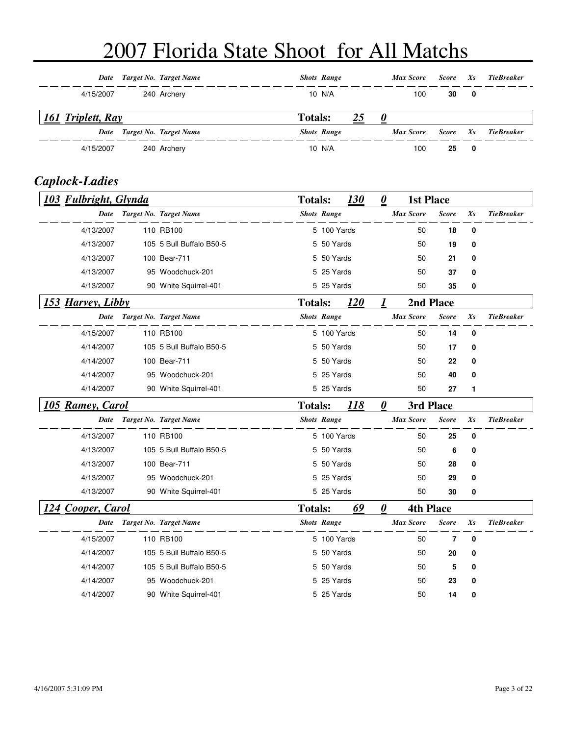|                   | Date Target No. Target Name | <b>Shots Range</b>   | Max Score | Score        | Xs           | Tie Breaker       |
|-------------------|-----------------------------|----------------------|-----------|--------------|--------------|-------------------|
| 4/15/2007         | 240 Archery                 | 10 N/A               | 100       | 30           | $\mathbf{0}$ |                   |
| 161 Triplett, Ray |                             | 25<br><b>Totals:</b> | $\theta$  |              |              |                   |
|                   | Date Target No. Target Name | <b>Shots Range</b>   | Max Score | <b>Score</b> |              | <b>TieBreaker</b> |
|                   |                             |                      |           |              | $X_{S}$      |                   |

#### *Caplock-Ladies*

| 103 Fulbright, Glynda |                          | <b>Totals:</b> |                    | 130        | $\boldsymbol{\theta}$ | <b>1st Place</b> |              |          |                   |
|-----------------------|--------------------------|----------------|--------------------|------------|-----------------------|------------------|--------------|----------|-------------------|
| Date                  | Target No. Target Name   |                | <b>Shots Range</b> |            |                       | <b>Max Score</b> | <b>Score</b> | Xs       | <b>TieBreaker</b> |
| 4/13/2007             | 110 RB100                |                | 5 100 Yards        |            |                       | 50               | 18           | $\bf{0}$ |                   |
| 4/13/2007             | 105 5 Bull Buffalo B50-5 |                | 5 50 Yards         |            |                       | 50               | 19           | 0        |                   |
| 4/13/2007             | 100 Bear-711             |                | 5 50 Yards         |            |                       | 50               | 21           | $\bf{0}$ |                   |
| 4/13/2007             | 95 Woodchuck-201         |                | 5 25 Yards         |            |                       | 50               | 37           | 0        |                   |
| 4/13/2007             | 90 White Squirrel-401    |                | 5 25 Yards         |            |                       | 50               | 35           | 0        |                   |
| 153 Harvey, Libby     |                          | <b>Totals:</b> |                    | <b>120</b> | 1                     | 2nd Place        |              |          |                   |
| Date                  | Target No. Target Name   |                | <b>Shots Range</b> |            |                       | <b>Max Score</b> | <b>Score</b> | Xs       | <b>TieBreaker</b> |
| 4/15/2007             | 110 RB100                |                | 5 100 Yards        |            |                       | 50               | 14           | 0        |                   |
| 4/14/2007             | 105 5 Bull Buffalo B50-5 |                | 5 50 Yards         |            |                       | 50               | 17           | 0        |                   |
| 4/14/2007             | 100 Bear-711             |                | 5 50 Yards         |            |                       | 50               | 22           | 0        |                   |
| 4/14/2007             | 95 Woodchuck-201         |                | 5 25 Yards         |            |                       | 50               | 40           | 0        |                   |
| 4/14/2007             | 90 White Squirrel-401    |                | 5 25 Yards         |            |                       | 50               | 27           | 1        |                   |
| 105 Ramey, Carol      |                          | <b>Totals:</b> |                    | 118        | $\boldsymbol{\theta}$ | 3rd Place        |              |          |                   |
| Date                  | Target No. Target Name   |                | <b>Shots Range</b> |            |                       | <b>Max Score</b> | <b>Score</b> | $X_{S}$  | <b>TieBreaker</b> |
| 4/13/2007             | 110 RB100                |                | 5 100 Yards        |            |                       | 50               | 25           | $\bf{0}$ |                   |
| 4/13/2007             | 105 5 Bull Buffalo B50-5 |                | 5 50 Yards         |            |                       | 50               | 6            | 0        |                   |
| 4/13/2007             | 100 Bear-711             |                | 5 50 Yards         |            |                       | 50               | 28           | 0        |                   |
| 4/13/2007             | 95 Woodchuck-201         |                | 5 25 Yards         |            |                       | 50               | 29           | 0        |                   |
| 4/13/2007             | 90 White Squirrel-401    |                | 5 25 Yards         |            |                       | 50               | 30           | 0        |                   |
| 124 Cooper, Carol     |                          | <b>Totals:</b> |                    | 69         | $\boldsymbol{\theta}$ | <b>4th Place</b> |              |          |                   |
|                       |                          |                |                    |            |                       |                  |              |          | <b>TieBreaker</b> |
| Date                  | Target No. Target Name   |                | <b>Shots Range</b> |            |                       | <b>Max Score</b> | <b>Score</b> | Xs       |                   |
| 4/15/2007             | 110 RB100                |                | 5 100 Yards        |            |                       | 50               | 7            | 0        |                   |
| 4/14/2007             | 105 5 Bull Buffalo B50-5 |                | 5 50 Yards         |            |                       | 50               | 20           | 0        |                   |
| 4/14/2007             | 105 5 Bull Buffalo B50-5 |                | 5 50 Yards         |            |                       | 50               | 5            | 0        |                   |
| 4/14/2007             | 95 Woodchuck-201         |                | 5 25 Yards         |            |                       | 50               | 23           | 0        |                   |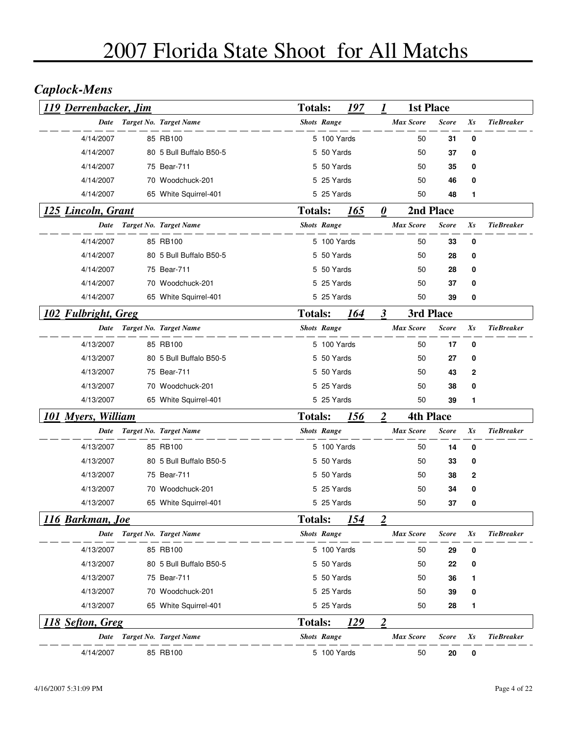## *Caplock-Mens*

| 119 Derrenbacker, Jim     |                             | <b>Totals:</b> |                    | 197         | 1                         | <b>1st Place</b> |              |    |                   |
|---------------------------|-----------------------------|----------------|--------------------|-------------|---------------------------|------------------|--------------|----|-------------------|
| <b>Date</b>               | Target No. Target Name      |                | <b>Shots Range</b> |             |                           | Max Score        | <b>Score</b> | Xs | <b>TieBreaker</b> |
| 4/14/2007                 | 85 RB100                    |                | 5 100 Yards        |             |                           | 50               | 31           | 0  |                   |
| 4/14/2007                 | 80 5 Bull Buffalo B50-5     |                | 5 50 Yards         |             |                           | 50               | 37           | 0  |                   |
| 4/14/2007                 | 75 Bear-711                 |                | 5 50 Yards         |             |                           | 50               | 35           | 0  |                   |
| 4/14/2007                 | 70 Woodchuck-201            |                | 5 25 Yards         |             |                           | 50               | 46           | 0  |                   |
| 4/14/2007                 | 65 White Squirrel-401       |                | 5 25 Yards         |             |                           | 50               | 48           | 1  |                   |
| 125 Lincoln, Grant        |                             | <b>Totals:</b> |                    | 165         | $\boldsymbol{\theta}$     |                  | 2nd Place    |    |                   |
| Date                      | Target No. Target Name      |                | <b>Shots Range</b> |             |                           | <b>Max Score</b> | <b>Score</b> | Xs | <b>TieBreaker</b> |
| 4/14/2007                 | 85 RB100                    |                | 5 100 Yards        |             |                           | 50               | 33           | 0  |                   |
| 4/14/2007                 | 80 5 Bull Buffalo B50-5     |                | 5 50 Yards         |             |                           | 50               | 28           | 0  |                   |
| 4/14/2007                 | 75 Bear-711                 |                | 5 50 Yards         |             |                           | 50               | 28           | 0  |                   |
| 4/14/2007                 | 70 Woodchuck-201            |                | 5 25 Yards         |             |                           | 50               | 37           | 0  |                   |
| 4/14/2007                 | 65 White Squirrel-401       |                | 5 25 Yards         |             |                           | 50               | 39           | 0  |                   |
| 102 Fulbright, Greg       |                             | <b>Totals:</b> |                    | 164         | $\boldsymbol{\beta}$      |                  | 3rd Place    |    |                   |
|                           | Date Target No. Target Name |                | <b>Shots Range</b> |             |                           | <b>Max Score</b> | <b>Score</b> | Xs | <b>TieBreaker</b> |
| 4/13/2007                 | 85 RB100                    |                | 5 100 Yards        |             |                           | 50               | 17           | 0  |                   |
| 4/13/2007                 | 80 5 Bull Buffalo B50-5     |                | 5 50 Yards         |             |                           | 50               | 27           | 0  |                   |
| 4/13/2007                 | 75 Bear-711                 |                | 5 50 Yards         |             |                           | 50               | 43           | 2  |                   |
| 4/13/2007                 | 70 Woodchuck-201            |                | 5 25 Yards         |             |                           | 50               | 38           | 0  |                   |
| 4/13/2007                 | 65 White Squirrel-401       |                | 5 25 Yards         |             |                           | 50               | 39           | 1  |                   |
| <b>101 Myers, William</b> |                             | <b>Totals:</b> |                    | <u> 156</u> | $\overline{2}$            | <b>4th Place</b> |              |    |                   |
| Date                      | Target No. Target Name      |                | <b>Shots Range</b> |             |                           | <b>Max Score</b> | <b>Score</b> | Xs | <b>TieBreaker</b> |
| 4/13/2007                 | 85 RB100                    |                | 5 100 Yards        |             |                           | 50               | 14           | 0  |                   |
| 4/13/2007                 | 80 5 Bull Buffalo B50-5     |                | 5 50 Yards         |             |                           | 50               | 33           | 0  |                   |
| 4/13/2007                 | 75 Bear-711                 |                | 5 50 Yards         |             |                           | 50               | 38           | 2  |                   |
| 4/13/2007                 | 70 Woodchuck-201            |                | 5 25 Yards         |             |                           | 50               | 34           | 0  |                   |
| 4/13/2007                 | 65 White Squirrel-401       |                | 5 25 Yards         |             |                           | 50               | 37           | 0  |                   |
| <u>116</u> Barkman, Joe   |                             | <b>Totals:</b> |                    | 154         | $\boldsymbol{\mathsf{2}}$ |                  |              |    |                   |
| <b>Date</b>               | Target No. Target Name      |                | <b>Shots Range</b> |             |                           | <b>Max Score</b> | <b>Score</b> | Xs | <b>TieBreaker</b> |
| 4/13/2007                 | 85 RB100                    |                | 5 100 Yards        |             |                           | 50               | 29           | 0  |                   |
| 4/13/2007                 | 80 5 Bull Buffalo B50-5     |                | 5 50 Yards         |             |                           | 50               | 22           | 0  |                   |
| 4/13/2007                 | 75 Bear-711                 |                | 5 50 Yards         |             |                           | 50               | 36           | 1  |                   |
| 4/13/2007                 | 70 Woodchuck-201            |                | 5 25 Yards         |             |                           | 50               | 39           | 0  |                   |
| 4/13/2007                 | 65 White Squirrel-401       |                | 5 25 Yards         |             |                           | 50               | 28           | 1  |                   |
| 118 Sefton, Greg          |                             | <b>Totals:</b> |                    | <u> 129</u> | $\overline{2}$            |                  |              |    |                   |
| Date                      | Target No. Target Name      |                | <b>Shots Range</b> |             |                           | <b>Max Score</b> | <b>Score</b> | Xs | <b>TieBreaker</b> |
| 4/14/2007                 | 85 RB100                    |                | 5 100 Yards        |             |                           | 50               | 20           | 0  |                   |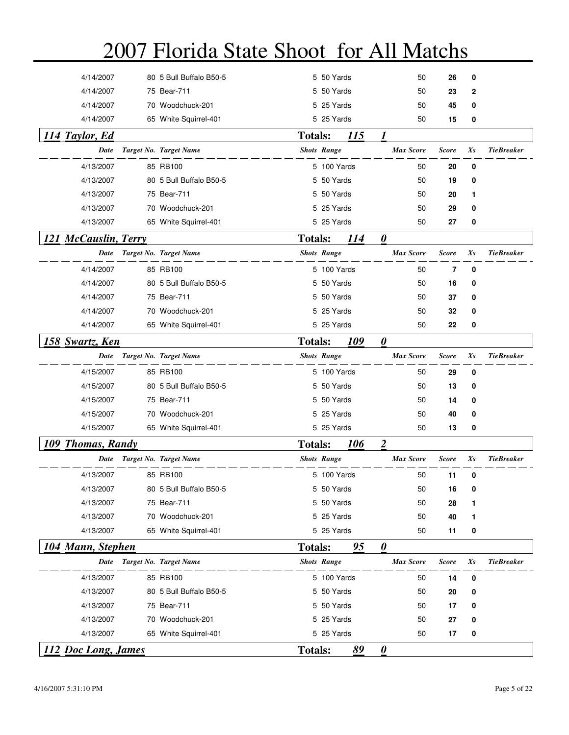| 4/14/2007              | 80 5 Bull Buffalo B50-5             |                    | 5 50 Yards               |           | 50                            | 26             | 0        |                   |
|------------------------|-------------------------------------|--------------------|--------------------------|-----------|-------------------------------|----------------|----------|-------------------|
| 4/14/2007              | 75 Bear-711                         |                    | 5 50 Yards               |           | 50                            | 23             | 2        |                   |
| 4/14/2007              | 70 Woodchuck-201                    |                    | 5 25 Yards               |           | 50                            | 45             | 0        |                   |
| 4/14/2007              | 65 White Squirrel-401               |                    | 5 25 Yards               |           | 50                            | 15             | 0        |                   |
| 114 Taylor, Ed         |                                     | <b>Totals:</b>     |                          | 115       | 1                             |                |          |                   |
| Date                   | Target No. Target Name              |                    | <b>Shots Range</b>       |           | <b>Max Score</b>              | <b>Score</b>   | $X_{S}$  | <b>TieBreaker</b> |
| 4/13/2007              | 85 RB100                            |                    | 5 100 Yards              |           | 50                            | 20             | 0        |                   |
| 4/13/2007              | 80 5 Bull Buffalo B50-5             |                    | 5 50 Yards               |           | 50                            | 19             | 0        |                   |
| 4/13/2007              | 75 Bear-711                         |                    | 5 50 Yards               |           | 50                            | 20             | 1        |                   |
| 4/13/2007              | 70 Woodchuck-201                    |                    | 5 25 Yards               |           | 50                            | 29             | 0        |                   |
| 4/13/2007              | 65 White Squirrel-401               |                    | 5 25 Yards               |           | 50                            | 27             | 0        |                   |
| 121 McCauslin, Terry   |                                     | <b>Totals:</b>     |                          | 114       | $\boldsymbol{\theta}$         |                |          |                   |
| Date                   | Target No. Target Name              |                    | <b>Shots Range</b>       |           | <b>Max Score</b>              | <b>Score</b>   | Xs       | <b>TieBreaker</b> |
| 4/14/2007              | 85 RB100                            |                    | 5 100 Yards              |           | 50                            | $\overline{7}$ | $\bf{0}$ |                   |
| 4/14/2007              | 80 5 Bull Buffalo B50-5             |                    | 5 50 Yards               |           | 50                            | 16             | 0        |                   |
| 4/14/2007              | 75 Bear-711                         |                    | 5 50 Yards               |           | 50                            | 37             | 0        |                   |
| 4/14/2007              | 70 Woodchuck-201                    |                    | 5 25 Yards               |           | 50                            | 32             | 0        |                   |
| 4/14/2007              | 65 White Squirrel-401               |                    | 5 25 Yards               |           | 50                            | 22             | 0        |                   |
| 158 Swartz, Ken        |                                     | <b>Totals:</b>     |                          | 109       | 0                             |                |          |                   |
| Date                   | Target No. Target Name              | <b>Shots Range</b> |                          |           | <b>Max Score</b>              | <b>Score</b>   | Xs       | <b>TieBreaker</b> |
| 4/15/2007              | 85 RB100                            |                    | 5 100 Yards              |           | 50                            | 29             | 0        |                   |
| 4/15/2007              | 80 5 Bull Buffalo B50-5             |                    | 5 50 Yards               |           | 50                            | 13             | 0        |                   |
| 4/15/2007              | 75 Bear-711                         |                    | 5 50 Yards               |           | 50                            | 14             | 0        |                   |
| 4/15/2007              | 70 Woodchuck-201                    |                    | 5 25 Yards               |           | 50                            | 40             | 0        |                   |
| 4/15/2007              | 65 White Squirrel-401               |                    | 5 25 Yards               |           | 50                            | 13             | 0        |                   |
| 109 Thomas, Randy      |                                     | <b>Totals:</b>     |                          | 106       | $\overline{2}$                |                |          |                   |
| Date                   | Target No. Target Name              | <b>Shots Range</b> |                          |           | <b>Max Score</b>              | <b>Score</b>   | Xs       | <b>TieBreaker</b> |
| 4/13/2007              | 85 RB100                            |                    | 5 100 Yards              |           |                               |                |          |                   |
| 4/13/2007              | 80 5 Bull Buffalo B50-5             |                    | 5 50 Yards               |           | 50<br>50                      | 11<br>16       | 0<br>0   |                   |
| 4/13/2007              | 75 Bear-711                         |                    | 5 50 Yards               |           | 50                            | 28             |          |                   |
| 4/13/2007              | 70 Woodchuck-201                    |                    | 5 25 Yards               |           | 50                            | 40             | 1<br>1   |                   |
| 4/13/2007              | 65 White Squirrel-401               |                    | 5 25 Yards               |           | 50                            | 11             | 0        |                   |
| 104 Mann, Stephen      |                                     | <b>Totals:</b>     |                          | 95        | $\boldsymbol{\theta}$         |                |          |                   |
| Date                   | Target No. Target Name              |                    | <b>Shots Range</b>       |           | <b>Max Score</b>              | <b>Score</b>   | Xs       | <b>TieBreaker</b> |
|                        |                                     |                    |                          |           |                               |                |          |                   |
| 4/13/2007              | 85 RB100<br>80 5 Bull Buffalo B50-5 |                    | 5 100 Yards              |           | 50                            | 14             | 0        |                   |
| 4/13/2007<br>4/13/2007 | 75 Bear-711                         |                    | 5 50 Yards<br>5 50 Yards |           | 50                            | 20             | 0        |                   |
| 4/13/2007              | 70 Woodchuck-201                    |                    | 5 25 Yards               |           | 50<br>50                      | 17<br>27       | 0<br>0   |                   |
| 4/13/2007              | 65 White Squirrel-401               |                    | 5 25 Yards               |           | 50                            | 17             | 0        |                   |
|                        |                                     |                    |                          |           |                               |                |          |                   |
| 112 Doc Long, James    |                                     | <b>Totals:</b>     |                          | <u>89</u> | $\mathbf{\underline{\theta}}$ |                |          |                   |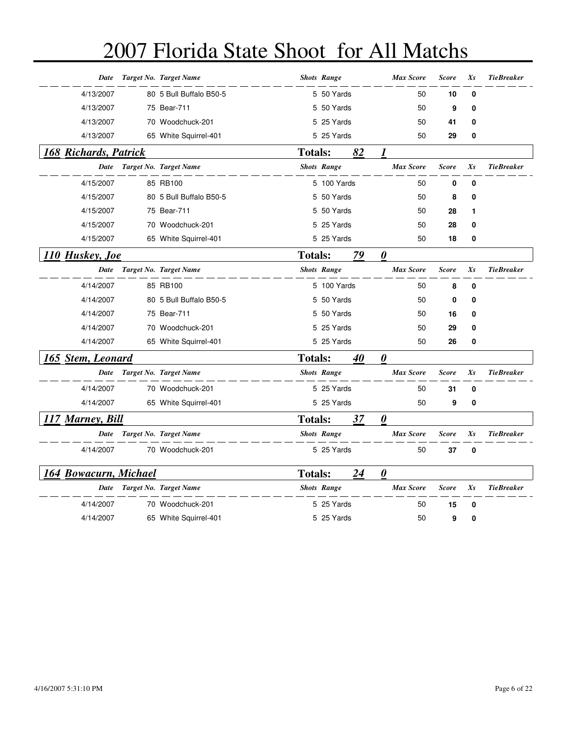| Date                  | Target No. Target Name  |                | <b>Shots Range</b> |    | <b>Max Score</b>      | <b>Score</b> | Xs          | <b>TieBreaker</b> |
|-----------------------|-------------------------|----------------|--------------------|----|-----------------------|--------------|-------------|-------------------|
| 4/13/2007             | 80 5 Bull Buffalo B50-5 |                | 5 50 Yards         |    | 50                    | 10           | $\mathbf 0$ |                   |
| 4/13/2007             | 75 Bear-711             |                | 5 50 Yards         |    | 50                    | 9            | 0           |                   |
| 4/13/2007             | 70 Woodchuck-201        |                | 5 25 Yards         |    | 50                    | 41           | 0           |                   |
| 4/13/2007             | 65 White Squirrel-401   |                | 5 25 Yards         |    | 50                    | 29           | 0           |                   |
| 168 Richards, Patrick |                         | <b>Totals:</b> |                    | 82 | 1                     |              |             |                   |
| Date                  | Target No. Target Name  |                | <b>Shots Range</b> |    | <b>Max Score</b>      | <b>Score</b> | Xs          | <b>TieBreaker</b> |
| 4/15/2007             | 85 RB100                |                | 5 100 Yards        |    | 50                    | 0            | $\mathbf 0$ |                   |
| 4/15/2007             | 80 5 Bull Buffalo B50-5 |                | 5 50 Yards         |    | 50                    | 8            | 0           |                   |
| 4/15/2007             | 75 Bear-711             |                | 5 50 Yards         |    | 50                    | 28           | 1           |                   |
| 4/15/2007             | 70 Woodchuck-201        |                | 5 25 Yards         |    | 50                    | 28           | 0           |                   |
| 4/15/2007             | 65 White Squirrel-401   |                | 5 25 Yards         |    | 50                    | 18           | 0           |                   |
| 110 Huskey, Joe       |                         | <b>Totals:</b> |                    | 79 | $\boldsymbol{\theta}$ |              |             |                   |
| <b>Date</b>           | Target No. Target Name  |                | <b>Shots Range</b> |    | <b>Max Score</b>      | <b>Score</b> | Xs          | <b>TieBreaker</b> |
| 4/14/2007             | 85 RB100                |                | 5 100 Yards        |    | 50                    | 8            | $\mathbf 0$ |                   |
| 4/14/2007             | 80 5 Bull Buffalo B50-5 |                | 5 50 Yards         |    | 50                    | 0            | 0           |                   |
| 4/14/2007             | 75 Bear-711             |                | 5 50 Yards         |    | 50                    | 16           | 0           |                   |
| 4/14/2007             | 70 Woodchuck-201        |                | 5 25 Yards         |    | 50                    | 29           | 0           |                   |
| 4/14/2007             | 65 White Squirrel-401   |                | 5 25 Yards         |    | 50                    | 26           | 0           |                   |
| 165 Stem, Leonard     |                         | <b>Totals:</b> |                    | 40 | $\boldsymbol{\theta}$ |              |             |                   |
| Date                  | Target No. Target Name  |                | <b>Shots Range</b> |    | <b>Max Score</b>      | <b>Score</b> | Xs          | <b>TieBreaker</b> |
| 4/14/2007             | 70 Woodchuck-201        |                | 5 25 Yards         |    | 50                    | 31           | $\bf{0}$    |                   |
| 4/14/2007             | 65 White Squirrel-401   |                | 5 25 Yards         |    | 50                    | 9            | 0           |                   |
| 117 Marney, Bill      |                         | <b>Totals:</b> |                    | 37 | $\boldsymbol{\theta}$ |              |             |                   |
| Date                  | Target No. Target Name  |                | <b>Shots Range</b> |    | <b>Max Score</b>      | <b>Score</b> | Xs          | <b>TieBreaker</b> |
| 4/14/2007             | 70 Woodchuck-201        |                | 5 25 Yards         |    | 50                    | 37           | 0           |                   |
| 164 Bowacurn, Michael |                         | <b>Totals:</b> |                    | 24 | $\boldsymbol{\theta}$ |              |             |                   |
| Date                  | Target No. Target Name  |                | <b>Shots Range</b> |    | <b>Max Score</b>      | <b>Score</b> | Xs          | <b>TieBreaker</b> |
| 4/14/2007             | 70 Woodchuck-201        |                | 5 25 Yards         |    | 50                    | 15           | 0           |                   |
| 4/14/2007             | 65 White Squirrel-401   |                | 5 25 Yards         |    | 50                    | 9            | 0           |                   |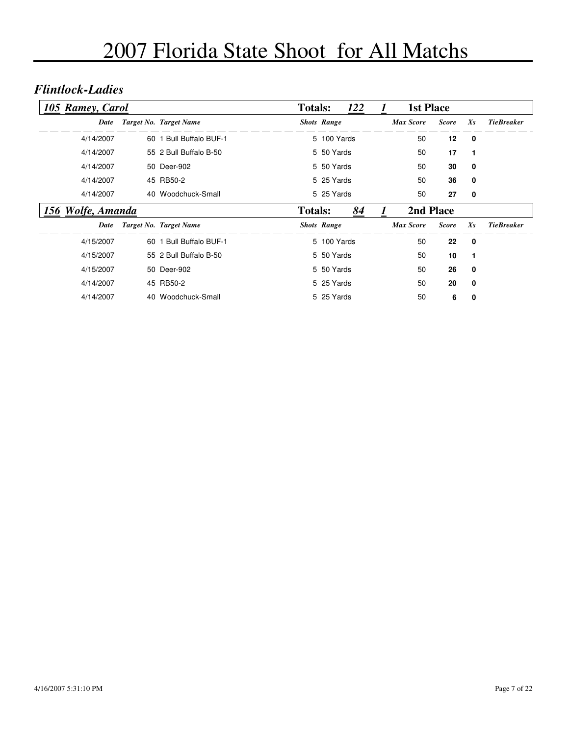#### *Flintlock-Ladies*

| 105 Ramey, Carol  |    |                         | <b>Totals:</b> |                    | <b>122</b> | <b>1st Place</b> |              |         |                   |
|-------------------|----|-------------------------|----------------|--------------------|------------|------------------|--------------|---------|-------------------|
| Date              |    | Target No. Target Name  |                | <b>Shots Range</b> |            | <b>Max Score</b> | <b>Score</b> | Xs      | <b>TieBreaker</b> |
| 4/14/2007         |    | 60 1 Bull Buffalo BUF-1 |                | 5 100 Yards        |            | 50               | 12           | 0       |                   |
| 4/14/2007         |    | 55 2 Bull Buffalo B-50  |                | 5 50 Yards         |            | 50               | 17           |         |                   |
| 4/14/2007         |    | 50 Deer-902             |                | 5 50 Yards         |            | 50               | 30           | 0       |                   |
| 4/14/2007         |    | 45 RB50-2               |                | 5 25 Yards         |            | 50               | 36           | 0       |                   |
| 4/14/2007         |    | 40 Woodchuck-Small      |                | 5 25 Yards         |            | 50               | 27           | 0       |                   |
| 156 Wolfe, Amanda |    |                         | <b>Totals:</b> |                    | 84         | 2nd Place        |              |         |                   |
| Date              |    | Target No. Target Name  |                | <b>Shots Range</b> |            | <b>Max Score</b> | <b>Score</b> | $X_{S}$ | <b>TieBreaker</b> |
| 4/15/2007         | 60 | 1 Bull Buffalo BUF-1    |                | 5 100 Yards        |            | 50               | 22           | 0       |                   |
| 4/15/2007         |    | 55 2 Bull Buffalo B-50  |                | 5 50 Yards         |            | 50               | 10           | 1       |                   |
| 4/15/2007         |    | 50 Deer-902             |                | 5 50 Yards         |            | 50               | 26           | 0       |                   |
| 4/14/2007         |    | 45 RB50-2               |                | 5 25 Yards         |            | 50               | 20           | 0       |                   |
| 4/14/2007         | 40 | Woodchuck-Small         |                | 5 25 Yards         |            | 50               | 6            | 0       |                   |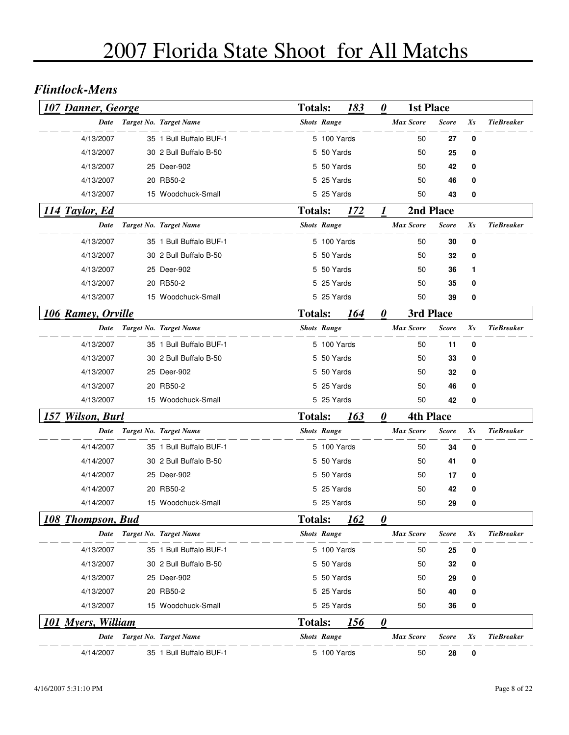#### *Flintlock-Mens*

| <b>107 Danner, George</b> |                             | <b>Totals:</b> |                    | 183         | 0 | <b>1st Place</b> |              |    |                   |
|---------------------------|-----------------------------|----------------|--------------------|-------------|---|------------------|--------------|----|-------------------|
|                           | Date Target No. Target Name |                | <b>Shots Range</b> |             |   | <b>Max Score</b> | <b>Score</b> | Xs | <b>TieBreaker</b> |
| 4/13/2007                 | 35 1 Bull Buffalo BUF-1     |                | 5 100 Yards        |             |   | 50               | 27           | 0  |                   |
| 4/13/2007                 | 30 2 Bull Buffalo B-50      |                | 5 50 Yards         |             |   | 50               | 25           | 0  |                   |
| 4/13/2007                 | 25 Deer-902                 |                | 5 50 Yards         |             |   | 50               | 42           | 0  |                   |
| 4/13/2007                 | 20 RB50-2                   |                | 5 25 Yards         |             |   | 50               | 46           | 0  |                   |
| 4/13/2007                 | 15 Woodchuck-Small          |                | 5 25 Yards         |             |   | 50               | 43           | 0  |                   |
| 114 Taylor, Ed            |                             | <b>Totals:</b> |                    | 172         | 1 |                  | 2nd Place    |    |                   |
| Date                      | Target No. Target Name      |                | <b>Shots Range</b> |             |   | <b>Max Score</b> | <b>Score</b> | Xs | <b>TieBreaker</b> |
| 4/13/2007                 | 35 1 Bull Buffalo BUF-1     |                | 5 100 Yards        |             |   | 50               | 30           | 0  |                   |
| 4/13/2007                 | 30 2 Bull Buffalo B-50      |                | 5 50 Yards         |             |   | 50               | 32           | 0  |                   |
| 4/13/2007                 | 25 Deer-902                 |                | 5 50 Yards         |             |   | 50               | 36           | 1  |                   |
| 4/13/2007                 | 20 RB50-2                   |                | 5 25 Yards         |             |   | 50               | 35           | 0  |                   |
| 4/13/2007                 | 15 Woodchuck-Small          |                | 5 25 Yards         |             |   | 50               | 39           | 0  |                   |
| 106 Ramey, Orville        |                             | <b>Totals:</b> |                    | 164         | 0 | 3rd Place        |              |    |                   |
|                           | Date Target No. Target Name |                | <b>Shots Range</b> |             |   | <b>Max Score</b> | <b>Score</b> | Xs | <b>TieBreaker</b> |
| 4/13/2007                 | 35 1 Bull Buffalo BUF-1     |                | 5 100 Yards        |             |   | 50               | 11           | 0  |                   |
| 4/13/2007                 | 30 2 Bull Buffalo B-50      |                | 5 50 Yards         |             |   | 50               | 33           | 0  |                   |
| 4/13/2007                 | 25 Deer-902                 |                | 5 50 Yards         |             |   | 50               | 32           | 0  |                   |
| 4/13/2007                 | 20 RB50-2                   |                | 5 25 Yards         |             |   | 50               | 46           | 0  |                   |
| 4/13/2007                 | 15 Woodchuck-Small          |                | 5 25 Yards         |             |   | 50               | 42           | 0  |                   |
| 157 Wilson, Burl          |                             | <b>Totals:</b> |                    | 163         | 0 | <b>4th Place</b> |              |    |                   |
| Date                      | Target No. Target Name      |                | <b>Shots Range</b> |             |   | <b>Max Score</b> | <b>Score</b> | Xs | <b>TieBreaker</b> |
| 4/14/2007                 | 35 1 Bull Buffalo BUF-1     |                | 5 100 Yards        |             |   | 50               | 34           | 0  |                   |
| 4/14/2007                 | 30 2 Bull Buffalo B-50      |                | 5 50 Yards         |             |   | 50               | 41           | 0  |                   |
| 4/14/2007                 | 25 Deer-902                 |                | 5 50 Yards         |             |   | 50               | 17           | 0  |                   |
| 4/14/2007                 | 20 RB50-2                   |                | 5 25 Yards         |             |   | 50               | 42           | 0  |                   |
| 4/14/2007                 | 15 Woodchuck-Small          |                | 5 25 Yards         |             |   | 50               | 29           | 0  |                   |
| <b>108 Thompson, Bud</b>  |                             | <b>Totals:</b> |                    | 162         | 0 |                  |              |    |                   |
| Date                      | Target No. Target Name      |                | <b>Shots Range</b> |             |   | <b>Max Score</b> | <b>Score</b> | Xs | <b>TieBreaker</b> |
| 4/13/2007                 | 35 1 Bull Buffalo BUF-1     |                | 5 100 Yards        |             |   | 50               | 25           | 0  |                   |
| 4/13/2007                 | 30 2 Bull Buffalo B-50      |                | 5 50 Yards         |             |   | 50               | 32           | 0  |                   |
| 4/13/2007                 | 25 Deer-902                 |                | 5 50 Yards         |             |   | 50               | 29           | 0  |                   |
| 4/13/2007                 | 20 RB50-2                   |                | 5 25 Yards         |             |   | 50               | 40           | 0  |                   |
| 4/13/2007                 | 15 Woodchuck-Small          |                | 5 25 Yards         |             |   | 50               | 36           | 0  |                   |
| <b>101 Myers, William</b> |                             | <b>Totals:</b> |                    | <u> 156</u> | 0 |                  |              |    |                   |
| Date                      | Target No. Target Name      |                | <b>Shots Range</b> |             |   | <b>Max Score</b> | <b>Score</b> | Xs | <b>TieBreaker</b> |
| 4/14/2007                 | 35 1 Bull Buffalo BUF-1     |                | 5 100 Yards        |             |   | 50               | 28           | 0  |                   |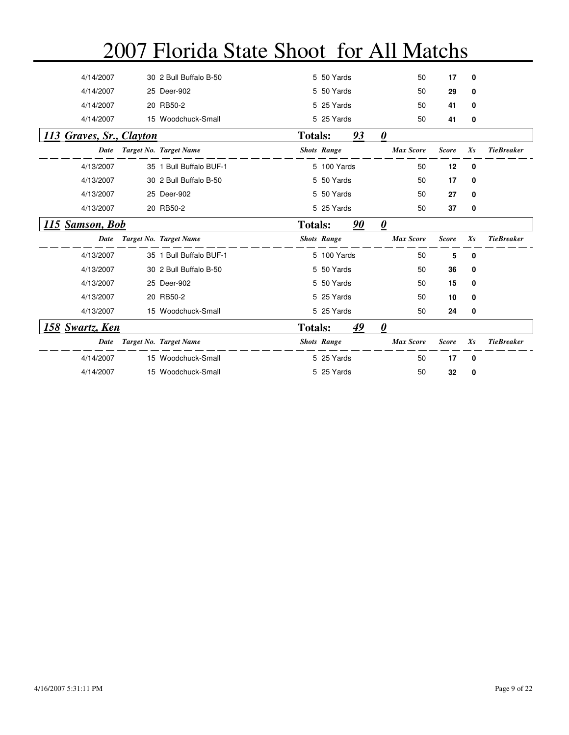| 4/14/2007                | 30 2 Bull Buffalo B-50  |                | 5 50 Yards         |    | 50                    | 17           | 0           |                   |
|--------------------------|-------------------------|----------------|--------------------|----|-----------------------|--------------|-------------|-------------------|
| 4/14/2007                | 25 Deer-902             |                | 5 50 Yards         |    | 50                    | 29           | 0           |                   |
| 4/14/2007                | 20 RB50-2               |                | 5 25 Yards         |    | 50                    | 41           | 0           |                   |
| 4/14/2007                | 15 Woodchuck-Small      |                | 5 25 Yards         |    | 50                    | 41           | 0           |                   |
| 113 Graves, Sr., Clayton |                         | <b>Totals:</b> |                    | 93 | 0                     |              |             |                   |
| Date                     | Target No. Target Name  |                | <b>Shots Range</b> |    | <b>Max Score</b>      | <b>Score</b> | $X_{S}$     | <b>TieBreaker</b> |
| 4/13/2007                | 35 1 Bull Buffalo BUF-1 |                | 5 100 Yards        |    | 50                    | 12           | 0           |                   |
| 4/13/2007                | 30 2 Bull Buffalo B-50  |                | 5 50 Yards         |    | 50                    | 17           | 0           |                   |
| 4/13/2007                | 25 Deer-902             |                | 5 50 Yards         |    | 50                    | 27           | 0           |                   |
| 4/13/2007                | 20 RB50-2               |                | 5 25 Yards         |    | 50                    | 37           | 0           |                   |
| 115 Samson, Bob          |                         | <b>Totals:</b> |                    | 90 | $\boldsymbol{\theta}$ |              |             |                   |
| <b>Date</b>              | Target No. Target Name  |                | <b>Shots Range</b> |    | <b>Max Score</b>      | <b>Score</b> | $X_{S}$     | <b>TieBreaker</b> |
| 4/13/2007                | 35 1 Bull Buffalo BUF-1 |                | 5 100 Yards        |    | 50                    | 5            | 0           |                   |
| 4/13/2007                | 30 2 Bull Buffalo B-50  |                |                    |    |                       |              |             |                   |
|                          |                         |                | 5 50 Yards         |    | 50                    | 36           | 0           |                   |
| 4/13/2007                | 25 Deer-902             |                | 5 50 Yards         |    | 50                    | 15           | 0           |                   |
| 4/13/2007                | 20 RB50-2               |                | 5 25 Yards         |    | 50                    | 10           | 0           |                   |
| 4/13/2007                | 15 Woodchuck-Small      |                | 5 25 Yards         |    | 50                    | 24           | 0           |                   |
| 158 Swartz, Ken          |                         | <b>Totals:</b> |                    | 49 | 0                     |              |             |                   |
| Date                     | Target No. Target Name  |                | <b>Shots Range</b> |    | <b>Max Score</b>      | <b>Score</b> | $X_{S}$     | <b>TieBreaker</b> |
| 4/14/2007                | 15 Woodchuck-Small      |                | 5 25 Yards         |    | 50                    | 17           | $\mathbf 0$ |                   |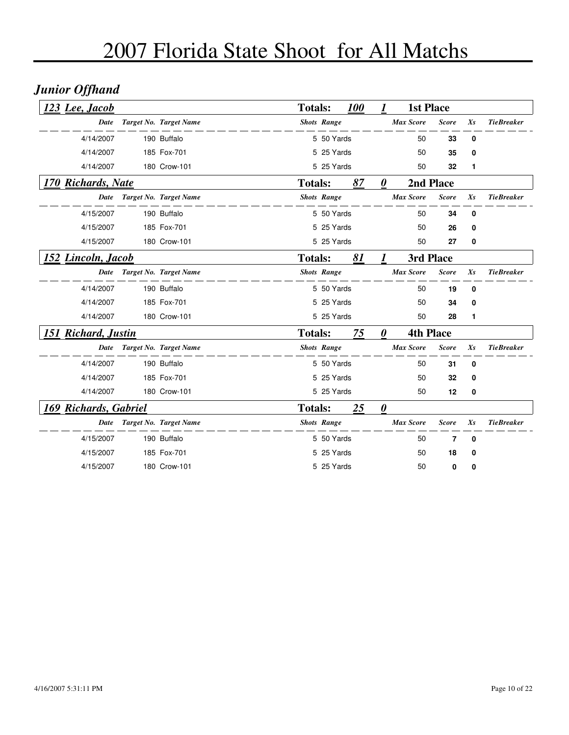## *Junior Offhand*

| 123 Lee, Jacob        |                        | <b>Totals:</b> |                    | <b>100</b> |                        | <b>1st Place</b> |              |         |                   |
|-----------------------|------------------------|----------------|--------------------|------------|------------------------|------------------|--------------|---------|-------------------|
| <b>Date</b>           | Target No. Target Name |                | <b>Shots Range</b> |            |                        | <b>Max Score</b> | <b>Score</b> | Xs      | <b>TieBreaker</b> |
| 4/14/2007             | 190 Buffalo            |                | 5 50 Yards         |            |                        | 50               | 33           | 0       |                   |
| 4/14/2007             | 185 Fox-701            |                | 5 25 Yards         |            |                        | 50               | 35           | 0       |                   |
| 4/14/2007             | 180 Crow-101           |                | 5 25 Yards         |            |                        | 50               | 32           | 1       |                   |
| 170 Richards, Nate    |                        | <b>Totals:</b> |                    | 87         | $\boldsymbol{\theta}$  |                  | 2nd Place    |         |                   |
| Date                  | Target No. Target Name |                | <b>Shots Range</b> |            |                        | <b>Max Score</b> | <b>Score</b> | $X_{S}$ | <b>TieBreaker</b> |
| 4/15/2007             | 190 Buffalo            |                | 5 50 Yards         |            |                        | 50               | 34           | 0       |                   |
| 4/15/2007             | 185 Fox-701            |                | 5 25 Yards         |            |                        | 50               | 26           | 0       |                   |
| 4/15/2007             | 180 Crow-101           |                | 5 25 Yards         |            |                        | 50               | 27           | 0       |                   |
| 152 Lincoln, Jacob    |                        | <b>Totals:</b> |                    | 81         |                        | 3rd Place        |              |         |                   |
| Date                  | Target No. Target Name |                | <b>Shots Range</b> |            |                        | <b>Max Score</b> | <b>Score</b> | $X_{S}$ | <b>TieBreaker</b> |
| 4/14/2007             | 190 Buffalo            |                | 5 50 Yards         |            |                        | 50               | 19           | 0       |                   |
| 4/14/2007             | 185 Fox-701            |                | 5 25 Yards         |            |                        | 50               | 34           | 0       |                   |
| 4/14/2007             | 180 Crow-101           |                | 5 25 Yards         |            |                        | 50               | 28           | 1       |                   |
| 151 Richard, Justin   |                        | <b>Totals:</b> |                    | 75         | $\boldsymbol{\theta}$  | <b>4th Place</b> |              |         |                   |
| <b>Date</b>           | Target No. Target Name |                | <b>Shots Range</b> |            |                        | <b>Max Score</b> | <b>Score</b> | $X_{S}$ | <b>TieBreaker</b> |
| 4/14/2007             | 190 Buffalo            |                | 5 50 Yards         |            |                        | 50               | 31           | 0       |                   |
| 4/14/2007             | 185 Fox-701            |                | 5 25 Yards         |            |                        | 50               | 32           | 0       |                   |
| 4/14/2007             | 180 Crow-101           |                | 5 25 Yards         |            |                        | 50               | 12           | 0       |                   |
| 169 Richards, Gabriel |                        | <b>Totals:</b> |                    | 25         | $\boldsymbol{\varrho}$ |                  |              |         |                   |
| Date                  | Target No. Target Name |                | <b>Shots Range</b> |            |                        | <b>Max Score</b> | <b>Score</b> | $X_{S}$ | <b>TieBreaker</b> |
| 4/15/2007             | 190 Buffalo            |                | 5 50 Yards         |            |                        | 50               | 7            | 0       |                   |
| 4/15/2007             | 185 Fox-701            |                | 5 25 Yards         |            |                        | 50               | 18           | 0       |                   |
| 4/15/2007             | 180 Crow-101           |                | 5 25 Yards         |            |                        | 50               | 0            | 0       |                   |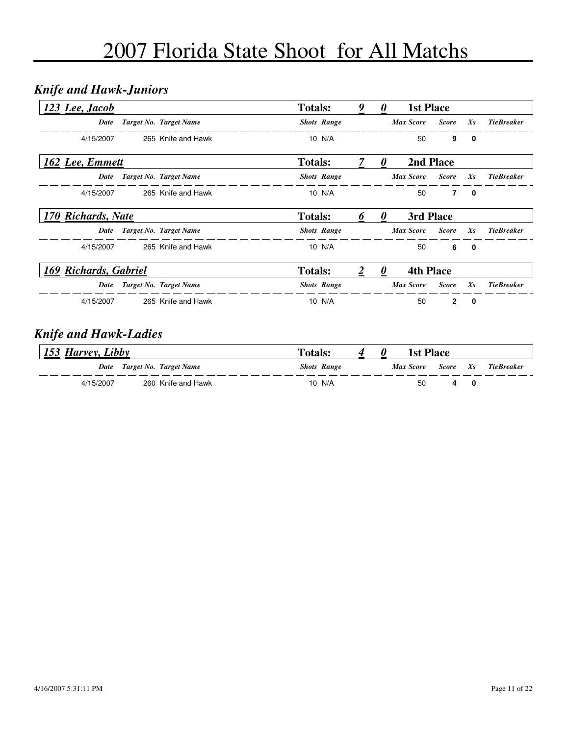## *Knife and Hawk-Juniors*

| 123 Lee, Jacob        |                        | <b>Totals:</b>     | 9 | $\boldsymbol{\theta}$ | <b>1st Place</b> |              |              |                   |
|-----------------------|------------------------|--------------------|---|-----------------------|------------------|--------------|--------------|-------------------|
| Date                  | Target No. Target Name | <b>Shots Range</b> |   |                       | <b>Max Score</b> | <b>Score</b> | $X_{S}$      | <b>TieBreaker</b> |
| 4/15/2007             | 265 Knife and Hawk     | 10 N/A             |   |                       | 50               | 9            | $\mathbf{0}$ |                   |
| 162 Lee, Emmett       |                        | <b>Totals:</b>     |   | $\boldsymbol{\theta}$ | 2nd Place        |              |              |                   |
| Date                  | Target No. Target Name | <b>Shots Range</b> |   |                       | <b>Max Score</b> | <b>Score</b> | $X_{S}$      | <b>TieBreaker</b> |
| 4/15/2007             | 265 Knife and Hawk     | 10 $N/A$           |   |                       | 50               | 7            | 0            |                   |
| 170 Richards, Nate    |                        | <b>Totals:</b>     |   |                       | 3rd Place        |              |              |                   |
| Date                  | Target No. Target Name | <b>Shots Range</b> |   |                       | <b>Max Score</b> | <b>Score</b> | $X_{S}$      | <b>TieBreaker</b> |
| 4/15/2007             | 265 Knife and Hawk     | 10 N/A             |   |                       | 50               | 6            | 0            |                   |
| 169 Richards, Gabriel |                        | <b>Totals:</b>     |   |                       | <b>4th Place</b> |              |              |                   |
| Date                  | Target No. Target Name | <b>Shots Range</b> |   |                       | <b>Max Score</b> | <b>Score</b> | $X_{S}$      | <b>TieBreaker</b> |
| 4/15/2007             | 265 Knife and Hawk     | 10 N/A             |   |                       | 50               | $\mathbf{2}$ | 0            |                   |

#### *Knife and Hawk-Ladies*

| 153 Harvey, Libby |                             | <b>Totals:</b> |                    | <b>1st Place</b> |          |            |
|-------------------|-----------------------------|----------------|--------------------|------------------|----------|------------|
|                   | Date Target No. Target Name |                | <b>Shots Range</b> | Max Score        | Score Xs | TieBreaker |
| 4/15/2007         | 260 Knife and Hawk          |                | 10 N/A             | 50               |          |            |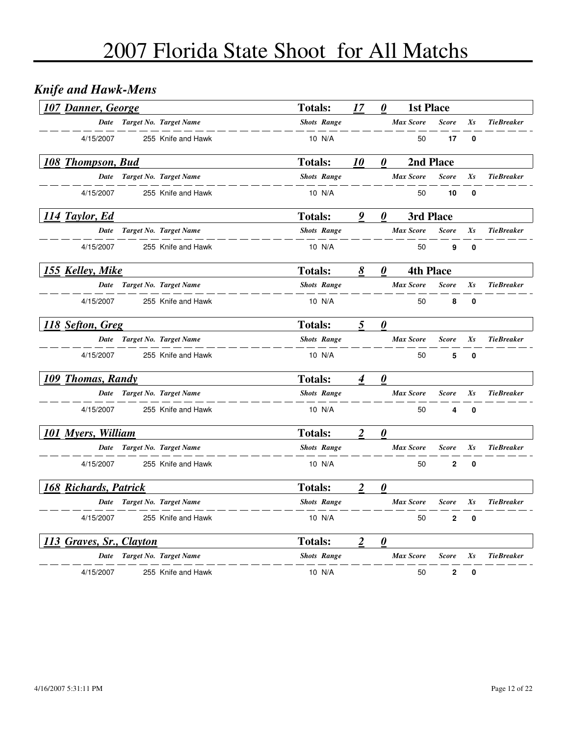## *Knife and Hawk-Mens*

| <b>107 Danner, George</b>    |                               | <b>Totals:</b>     | 17               | $\boldsymbol{\theta}$ | <b>1st Place</b> |              |              |                   |
|------------------------------|-------------------------------|--------------------|------------------|-----------------------|------------------|--------------|--------------|-------------------|
| <b>Date</b>                  | Target No. Target Name        | <b>Shots Range</b> |                  |                       | <b>Max Score</b> | <b>Score</b> | Xs           | <b>TieBreaker</b> |
| 4/15/2007                    | 255 Knife and Hawk            | 10 N/A             |                  |                       | 50               | 17           | 0            |                   |
| 108 Thompson, Bud            |                               | <b>Totals:</b>     | <i><b>10</b></i> | $\boldsymbol{\theta}$ | 2nd Place        |              |              |                   |
| Date                         | Target No. Target Name        | <b>Shots Range</b> |                  |                       | <b>Max Score</b> | <b>Score</b> | Xs           | <b>TieBreaker</b> |
| 4/15/2007                    | 255 Knife and Hawk            | 10 N/A             |                  |                       | 50               | 10           | $\mathbf{0}$ |                   |
| 114 Taylor, Ed               |                               | <b>Totals:</b>     | 9                | 0                     | 3rd Place        |              |              |                   |
| Date                         | <b>Target No. Target Name</b> | <b>Shots Range</b> |                  |                       | <b>Max Score</b> | <b>Score</b> | $X_{S}$      | <b>TieBreaker</b> |
| 4/15/2007                    | 255 Knife and Hawk            | 10 N/A             |                  |                       | 50               | 9            | 0            |                   |
| 155 Kelley, Mike             |                               | <b>Totals:</b>     | 8                | $\boldsymbol{\theta}$ | <b>4th Place</b> |              |              |                   |
|                              | Date Target No. Target Name   | <b>Shots Range</b> |                  |                       | <b>Max Score</b> | <b>Score</b> | Xs           | <b>TieBreaker</b> |
| 4/15/2007                    | 255 Knife and Hawk            | 10 N/A             |                  |                       | 50               | 8            | 0            |                   |
| 118 Sefton, Greg             |                               | <b>Totals:</b>     | 5                | $\boldsymbol{\theta}$ |                  |              |              |                   |
| Date                         | Target No. Target Name        | <b>Shots Range</b> |                  |                       | <b>Max Score</b> | <b>Score</b> | Xs           | <b>TieBreaker</b> |
| 4/15/2007                    | 255 Knife and Hawk            | 10 N/A             |                  |                       | 50               | 5            | 0            |                   |
| 109 Thomas, Randy            |                               | <b>Totals:</b>     | 4                | $\boldsymbol{\theta}$ |                  |              |              |                   |
|                              | Date Target No. Target Name   | <b>Shots Range</b> |                  |                       | <b>Max Score</b> | <b>Score</b> | Xs           | <b>TieBreaker</b> |
| 4/15/2007                    | 255 Knife and Hawk            | 10 N/A             |                  |                       | 50               | 4            | 0            |                   |
| 101 Myers, William           |                               | <b>Totals:</b>     | $\boldsymbol{2}$ | $\boldsymbol{\theta}$ |                  |              |              |                   |
| Date                         | Target No. Target Name        | <b>Shots Range</b> |                  |                       | <b>Max Score</b> | <b>Score</b> | $X_{S}$      | <b>TieBreaker</b> |
| 4/15/2007                    | 255 Knife and Hawk            | 10 N/A             |                  |                       | 50               | $\mathbf{2}$ | 0            |                   |
| <b>168 Richards, Patrick</b> |                               | <b>Totals:</b>     | 2                | $\boldsymbol{\theta}$ |                  |              |              |                   |
|                              | Date Target No. Target Name   | <b>Shots Range</b> |                  |                       | <b>Max Score</b> | <b>Score</b> | Xs           | <b>TieBreaker</b> |
| 4/15/2007                    | 255 Knife and Hawk            | 10 N/A             |                  |                       | 50               | 2            | 0            |                   |
| 113 Graves, Sr., Clayton     |                               | <b>Totals:</b>     | 2                | $\boldsymbol{\theta}$ |                  |              |              |                   |
| Date                         | Target No. Target Name        | <b>Shots Range</b> |                  |                       | <b>Max Score</b> | <b>Score</b> | Xs           | <b>TieBreaker</b> |
| 4/15/2007                    | 255 Knife and Hawk            | 10 N/A             |                  |                       | 50               | $\mathbf{2}$ | 0            |                   |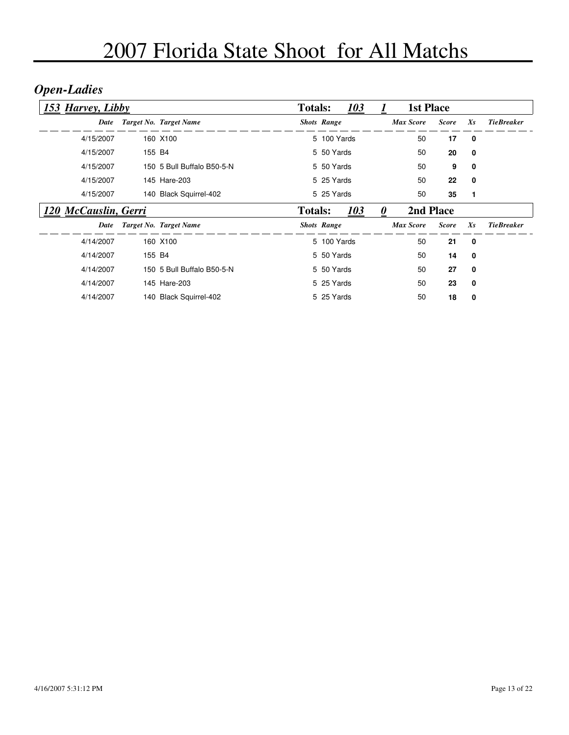## *Open-Ladies*

| 153 Harvey, Libby    |                            | <b>Totals:</b> |                    | 103 |                       | <b>1st Place</b> |              |         |                   |
|----------------------|----------------------------|----------------|--------------------|-----|-----------------------|------------------|--------------|---------|-------------------|
| Date                 | Target No. Target Name     |                | <b>Shots Range</b> |     |                       | <b>Max Score</b> | <b>Score</b> | $X_{S}$ | <b>TieBreaker</b> |
| 4/15/2007            | 160 X100                   |                | 5 100 Yards        |     |                       | 50               | 17           | 0       |                   |
| 4/15/2007            | 155 B4                     |                | 5 50 Yards         |     |                       | 50               | 20           | 0       |                   |
| 4/15/2007            | 150 5 Bull Buffalo B50-5-N |                | 5 50 Yards         |     |                       | 50               | 9            | 0       |                   |
| 4/15/2007            | 145 Hare-203               |                | 5 25 Yards         |     |                       | 50               | 22           | 0       |                   |
| 4/15/2007            | 140 Black Squirrel-402     |                | 5 25 Yards         |     |                       | 50               | 35           | 1       |                   |
| 120 McCauslin, Gerri |                            | <b>Totals:</b> |                    | 103 | $\boldsymbol{\theta}$ | 2nd Place        |              |         |                   |
| Date                 | Target No. Target Name     |                | <b>Shots Range</b> |     |                       | <b>Max Score</b> | <b>Score</b> | $X_{S}$ | <b>TieBreaker</b> |
| 4/14/2007            | 160 X100                   |                | 5 100 Yards        |     |                       | 50               | 21           | 0       |                   |
| 4/14/2007            | 155 B4                     |                | 5 50 Yards         |     |                       | 50               | 14           | 0       |                   |
| 4/14/2007            | 150 5 Bull Buffalo B50-5-N |                | 5 50 Yards         |     |                       | 50               | 27           | 0       |                   |
| 4/14/2007            | 145 Hare-203               |                | 5 25 Yards         |     |                       | 50               | 23           | 0       |                   |
| 4/14/2007            | 140 Black Squirrel-402     |                | 5 25 Yards         |     |                       | 50               | 18           | 0       |                   |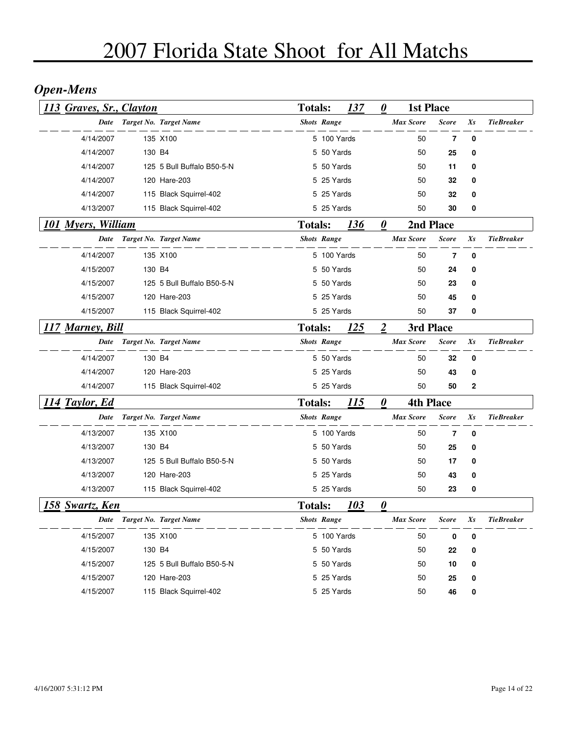## *Open-Mens*

| 113 Graves, Sr., Clayton  |        |                            | <b>Totals:</b> |                    | 137 | 0                     | <b>1st Place</b> |              |         |                   |
|---------------------------|--------|----------------------------|----------------|--------------------|-----|-----------------------|------------------|--------------|---------|-------------------|
| Date                      |        | Target No. Target Name     |                | <b>Shots Range</b> |     |                       | <b>Max Score</b> | <b>Score</b> | Xs      | <b>TieBreaker</b> |
| 4/14/2007                 |        | 135 X100                   |                | 5 100 Yards        |     |                       | 50               | 7            | 0       |                   |
| 4/14/2007                 | 130 B4 |                            |                | 5 50 Yards         |     |                       | 50               | 25           | 0       |                   |
| 4/14/2007                 |        | 125 5 Bull Buffalo B50-5-N |                | 5 50 Yards         |     |                       | 50               | 11           | 0       |                   |
| 4/14/2007                 |        | 120 Hare-203               |                | 5 25 Yards         |     |                       | 50               | 32           | 0       |                   |
| 4/14/2007                 |        | 115 Black Squirrel-402     |                | 5 25 Yards         |     |                       | 50               | 32           | 0       |                   |
| 4/13/2007                 |        | 115 Black Squirrel-402     |                | 5 25 Yards         |     |                       | 50               | 30           | 0       |                   |
| <b>101 Myers, William</b> |        |                            | <b>Totals:</b> |                    | 136 | $\boldsymbol{\theta}$ |                  | 2nd Place    |         |                   |
| Date                      |        | Target No. Target Name     |                | <b>Shots Range</b> |     |                       | <b>Max Score</b> | <b>Score</b> | $X_{S}$ | <b>TieBreaker</b> |
| 4/14/2007                 |        | 135 X100                   |                | 5 100 Yards        |     |                       | 50               | 7            | 0       |                   |
| 4/15/2007                 | 130 B4 |                            |                | 5 50 Yards         |     |                       | 50               | 24           | 0       |                   |
| 4/15/2007                 |        | 125 5 Bull Buffalo B50-5-N |                | 5 50 Yards         |     |                       | 50               | 23           | 0       |                   |
| 4/15/2007                 |        | 120 Hare-203               |                | 5 25 Yards         |     |                       | 50               | 45           | 0       |                   |
| 4/15/2007                 |        | 115 Black Squirrel-402     |                | 5 25 Yards         |     |                       | 50               | 37           | 0       |                   |
| <u> 117 Marney, Bill</u>  |        |                            | <b>Totals:</b> |                    | 125 | $\boldsymbol{2}$      | 3rd Place        |              |         |                   |
| <b>Date</b>               |        | Target No. Target Name     |                | <b>Shots Range</b> |     |                       | <b>Max Score</b> | <b>Score</b> | Xs      | <b>TieBreaker</b> |
| 4/14/2007                 | 130 B4 |                            |                | 5 50 Yards         |     |                       | 50               | 32           | 0       |                   |
| 4/14/2007                 |        | 120 Hare-203               |                | 5 25 Yards         |     |                       | 50               | 43           | 0       |                   |
| 4/14/2007                 |        | 115 Black Squirrel-402     |                | 5 25 Yards         |     |                       | 50               | 50           | 2       |                   |
| 114 Taylor, Ed            |        |                            | <b>Totals:</b> |                    | 115 | $\boldsymbol{\theta}$ | <b>4th Place</b> |              |         |                   |
| <b>Date</b>               |        | Target No. Target Name     |                | <b>Shots Range</b> |     |                       | <b>Max Score</b> | <b>Score</b> | Xs      | <b>TieBreaker</b> |
| 4/13/2007                 |        | 135 X100                   |                | 5 100 Yards        |     |                       | 50               | 7            | 0       |                   |
| 4/13/2007                 | 130 B4 |                            |                | 5 50 Yards         |     |                       | 50               | 25           | 0       |                   |
| 4/13/2007                 |        | 125 5 Bull Buffalo B50-5-N |                | 5 50 Yards         |     |                       | 50               | 17           | 0       |                   |
| 4/13/2007                 |        | 120 Hare-203               |                | 5 25 Yards         |     |                       | 50               | 43           | 0       |                   |
| 4/13/2007                 |        | 115 Black Squirrel-402     |                | 5 25 Yards         |     |                       | 50               | 23           | 0       |                   |
| <u>158 Swartz, Ken</u>    |        |                            | <b>Totals:</b> |                    | 103 | 0                     |                  |              |         |                   |
| Date                      |        | Target No. Target Name     |                | <b>Shots Range</b> |     |                       | <b>Max Score</b> | Score        | Xs      | <b>TieBreaker</b> |
| 4/15/2007                 |        | 135 X100                   |                | 5 100 Yards        |     |                       | 50               | 0            | 0       |                   |
| 4/15/2007                 | 130 B4 |                            |                | 5 50 Yards         |     |                       | 50               | 22           | 0       |                   |
| 4/15/2007                 |        | 125 5 Bull Buffalo B50-5-N |                | 5 50 Yards         |     |                       | 50               | 10           | 0       |                   |
| 4/15/2007                 |        | 120 Hare-203               |                | 5 25 Yards         |     |                       | 50               | 25           | 0       |                   |
| 4/15/2007                 |        | 115 Black Squirrel-402     |                | 5 25 Yards         |     |                       | 50               | 46           | 0       |                   |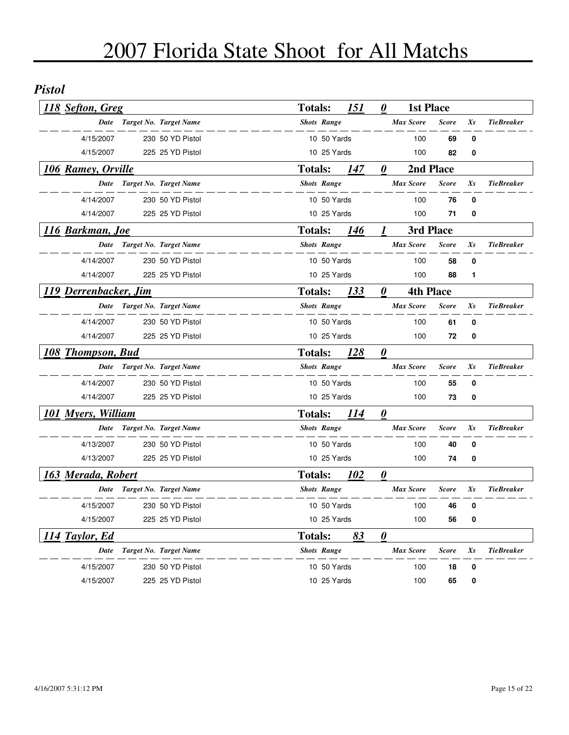#### *Pistol*

| 118 Sefton, Greg          |                             | <b>Totals:</b> |                    | 151        | 0                     | <b>1st Place</b> |              |    |                   |
|---------------------------|-----------------------------|----------------|--------------------|------------|-----------------------|------------------|--------------|----|-------------------|
| Date                      | Target No. Target Name      |                | <b>Shots Range</b> |            |                       | <b>Max Score</b> | <b>Score</b> | Xs | <b>TieBreaker</b> |
| 4/15/2007                 | 230 50 YD Pistol            |                | 10 50 Yards        |            |                       | 100              | 69           | 0  |                   |
| 4/15/2007                 | 225 25 YD Pistol            |                | 10 25 Yards        |            |                       | 100              | 82           | 0  |                   |
| <b>106 Ramey, Orville</b> |                             | <b>Totals:</b> |                    | 147        | 0                     | 2nd Place        |              |    |                   |
| Date                      | Target No. Target Name      |                | <b>Shots Range</b> |            |                       | <b>Max Score</b> | <b>Score</b> | Xs | <b>TieBreaker</b> |
| 4/14/2007                 | 230 50 YD Pistol            |                | 10 50 Yards        |            |                       | 100              | 76           | 0  |                   |
| 4/14/2007                 | 225 25 YD Pistol            |                | 10 25 Yards        |            |                       | 100              | 71           | 0  |                   |
| <u>116 Barkman, Joe</u>   |                             | <b>Totals:</b> |                    | 146        | 1                     | 3rd Place        |              |    |                   |
|                           | Date Target No. Target Name |                | <b>Shots Range</b> |            |                       | <b>Max Score</b> | <b>Score</b> | Xs | <b>TieBreaker</b> |
| 4/14/2007                 | 230 50 YD Pistol            |                | 10 50 Yards        |            |                       | 100              | 58           | 0  |                   |
| 4/14/2007                 | 225 25 YD Pistol            |                | 10 25 Yards        |            |                       | 100              | 88           | 1  |                   |
| 119 Derrenbacker, Jim     |                             | <b>Totals:</b> |                    | 133        | 0                     | <b>4th Place</b> |              |    |                   |
| Date                      | Target No. Target Name      |                | <b>Shots Range</b> |            |                       | <b>Max Score</b> | <b>Score</b> | Xs | <b>TieBreaker</b> |
| 4/14/2007                 | 230 50 YD Pistol            |                | 10 50 Yards        |            |                       | 100              | 61           | 0  |                   |
| 4/14/2007                 | 225 25 YD Pistol            |                | 10 25 Yards        |            |                       | 100              | 72           | 0  |                   |
| 108 Thompson, Bud         |                             | <b>Totals:</b> |                    | 128        | $\boldsymbol{\theta}$ |                  |              |    |                   |
| Date                      | Target No. Target Name      |                | <b>Shots Range</b> |            |                       | <b>Max Score</b> | <b>Score</b> | Xs | <b>TieBreaker</b> |
| 4/14/2007                 | 230 50 YD Pistol            |                | 10 50 Yards        |            |                       | 100              | 55           | 0  |                   |
| 4/14/2007                 | 225 25 YD Pistol            |                | 10 25 Yards        |            |                       | 100              | 73           | 0  |                   |
| 101 Myers, William        |                             | <b>Totals:</b> |                    | 114        | $\boldsymbol{\theta}$ |                  |              |    |                   |
| Date                      | Target No. Target Name      |                | <b>Shots Range</b> |            |                       | <b>Max Score</b> | <b>Score</b> | Xs | <b>TieBreaker</b> |
| 4/13/2007                 | 230 50 YD Pistol            |                | 10 50 Yards        |            |                       | 100              | 40           | 0  |                   |
| 4/13/2007                 | 225 25 YD Pistol            |                | 10 25 Yards        |            |                       | 100              | 74           | 0  |                   |
| 163 Merada, Robert        |                             | <b>Totals:</b> |                    | <b>102</b> | $\boldsymbol{\theta}$ |                  |              |    |                   |
|                           | Date Target No. Target Name |                | <b>Shots Range</b> |            |                       | <b>Max Score</b> | <b>Score</b> | Xs | <b>TieBreaker</b> |
| 4/15/2007                 | 230 50 YD Pistol            |                | 10 50 Yards        |            |                       | 100              | 46           | 0  |                   |
| 4/15/2007                 | 225 25 YD Pistol            |                | 10 25 Yards        |            |                       | 100              | 56           | 0  |                   |
| 114 Taylor, Ed            |                             | <b>Totals:</b> |                    | 83         | $\boldsymbol{\theta}$ |                  |              |    |                   |
| Date                      | Target No. Target Name      |                | <b>Shots Range</b> |            |                       | <b>Max Score</b> | <b>Score</b> | Xs | <b>TieBreaker</b> |
| 4/15/2007                 | 230 50 YD Pistol            |                | 10 50 Yards        |            |                       | 100              | 18           | 0  |                   |
| 4/15/2007                 | 225 25 YD Pistol            |                | 10 25 Yards        |            |                       | 100              | 65           | 0  |                   |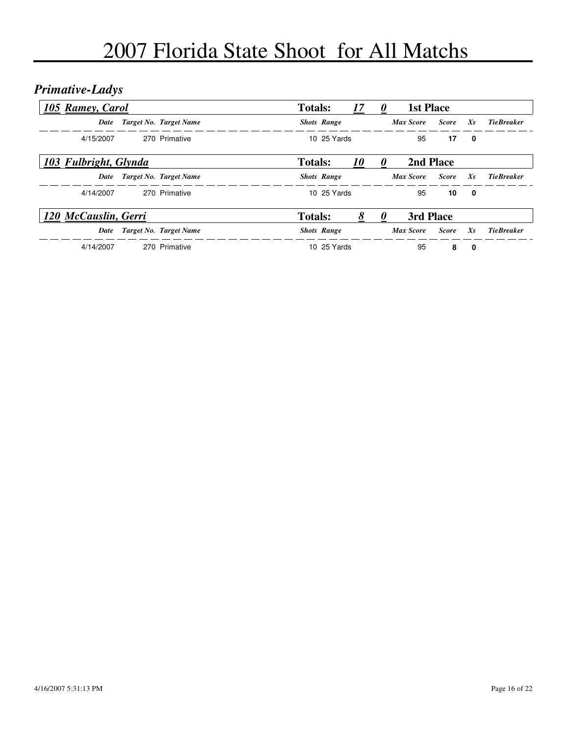## *Primative-Ladys*

| 105 Ramey, Carol      |                        | <b>Totals:</b> |                    | 17               | $\boldsymbol{v}$ | <b>1st Place</b> |              |         |                   |
|-----------------------|------------------------|----------------|--------------------|------------------|------------------|------------------|--------------|---------|-------------------|
| Date                  | Target No. Target Name |                | <b>Shots Range</b> |                  |                  | <b>Max Score</b> | <b>Score</b> | $X_{S}$ | <b>TieBreaker</b> |
| 4/15/2007             | 270 Primative          |                | 10 25 Yards        |                  |                  | 95               | 17           | 0       |                   |
| 103 Fulbright, Glynda |                        | <b>Totals:</b> |                    | <i><b>10</b></i> |                  | 2nd Place        |              |         |                   |
| Date                  | Target No. Target Name |                | <b>Shots Range</b> |                  |                  | Max Score        | <b>Score</b> | Xs      | <b>TieBreaker</b> |
| 4/14/2007             | 270 Primative          |                | 10 25 Yards        |                  |                  | 95               | 10           | 0       |                   |
| 120 McCauslin, Gerri  |                        | <b>Totals:</b> |                    | 8                |                  | 3rd Place        |              |         |                   |
| Date                  | Target No. Target Name |                | <b>Shots Range</b> |                  |                  | <b>Max Score</b> | <b>Score</b> | $X_{S}$ | <b>TieBreaker</b> |
| 4/14/2007             | 270 Primative          |                | 10 25 Yards        |                  |                  | 95               | 8            | 0       |                   |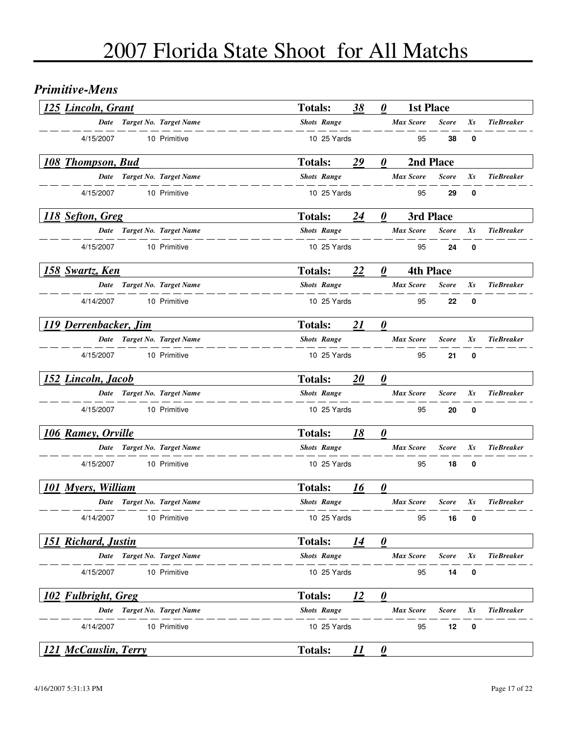#### *Primitive-Mens*

| <b>125 Lincoln, Grant</b>   |                             | <b>Totals:</b>     | 38 | 0                     | <b>1st Place</b> |              |          |                   |
|-----------------------------|-----------------------------|--------------------|----|-----------------------|------------------|--------------|----------|-------------------|
|                             | Date Target No. Target Name | <b>Shots Range</b> |    |                       | <b>Max Score</b> | <b>Score</b> | Xs       | <b>TieBreaker</b> |
| 4/15/2007                   | 10 Primitive                | 10 25 Yards        |    |                       | 95               | 38           | 0        |                   |
| 108 Thompson, Bud           |                             | <b>Totals:</b>     | 29 | 0                     | 2nd Place        |              |          |                   |
|                             | Date Target No. Target Name | <b>Shots Range</b> |    |                       | <b>Max Score</b> | <b>Score</b> | Xs       | <b>TieBreaker</b> |
| 4/15/2007                   | 10 Primitive                | 10 25 Yards        |    |                       | 95               | 29           | 0        |                   |
| 118 Sefton, Greg            |                             | <b>Totals:</b>     | 24 | 0                     | 3rd Place        |              |          |                   |
|                             | Date Target No. Target Name | <b>Shots Range</b> |    |                       | <b>Max Score</b> | <b>Score</b> | Xs       | <b>TieBreaker</b> |
| 4/15/2007                   | 10 Primitive                | 10 25 Yards        |    |                       | 95               | 24           | 0        |                   |
| 158 Swartz, Ken             |                             | <b>Totals:</b>     | 22 | 0                     | <b>4th Place</b> |              |          |                   |
|                             | Date Target No. Target Name | <b>Shots Range</b> |    |                       | <b>Max Score</b> | <b>Score</b> | Xs       | <b>TieBreaker</b> |
| 4/14/2007                   | 10 Primitive                | 10 25 Yards        |    |                       | 95               | 22           | $\bf{0}$ |                   |
| 119 Derrenbacker, Jim       |                             | <b>Totals:</b>     | 21 | $\boldsymbol{\theta}$ |                  |              |          |                   |
|                             | Date Target No. Target Name | <b>Shots Range</b> |    |                       | <b>Max Score</b> | <b>Score</b> | Xs       | <b>TieBreaker</b> |
| 4/15/2007                   | 10 Primitive                | 10 25 Yards        |    |                       | 95               | 21           | 0        |                   |
| 152 Lincoln, Jacob          |                             | <b>Totals:</b>     | 20 | $\boldsymbol{\theta}$ |                  |              |          |                   |
|                             | Date Target No. Target Name | <b>Shots Range</b> |    |                       | <b>Max Score</b> | <b>Score</b> | Xs       | <b>TieBreaker</b> |
| 4/15/2007                   | 10 Primitive                | 10 25 Yards        |    |                       | 95               | 20           | 0        |                   |
| 106 Ramey, Orville          |                             | <b>Totals:</b>     | 18 | $\boldsymbol{\theta}$ |                  |              |          |                   |
|                             | Date Target No. Target Name | <b>Shots Range</b> |    |                       | <b>Max Score</b> | <b>Score</b> | Xs       | <b>TieBreaker</b> |
| 4/15/2007                   | 10 Primitive                | 10 25 Yards        |    |                       | 95               | 18           | 0        |                   |
| <b>101 Myers, William</b>   |                             | <b>Totals:</b>     | 16 | $\boldsymbol{\theta}$ |                  |              |          |                   |
|                             | Date Target No. Target Name | <b>Shots Range</b> |    |                       | <b>Max Score</b> | <b>Score</b> | Xs       | <b>TieBreaker</b> |
| 4/14/2007                   | 10 Primitive                | 10 25 Yards        |    |                       | 95               | 16           | 0        |                   |
| 151 Richard, Justin         |                             | <b>Totals:</b>     | 14 | $\boldsymbol{\theta}$ |                  |              |          |                   |
| Date                        | Target No. Target Name      | <b>Shots Range</b> |    |                       | <b>Max Score</b> | <b>Score</b> | Xs       | <b>TieBreaker</b> |
| 4/15/2007                   | 10 Primitive                | 10 25 Yards        |    |                       | 95               | 14           | 0        |                   |
| 102 Fulbright, Greg         |                             | <b>Totals:</b>     | 12 | $\boldsymbol{\theta}$ |                  |              |          |                   |
| Date                        | Target No. Target Name      | <b>Shots Range</b> |    |                       | <b>Max Score</b> | <b>Score</b> | Xs       | <b>TieBreaker</b> |
| 4/14/2007                   | 10 Primitive                | 10 25 Yards        |    |                       | 95               | 12           | 0        |                   |
| <b>121 McCauslin, Terry</b> |                             | <b>Totals:</b>     | 11 | $\boldsymbol{\theta}$ |                  |              |          |                   |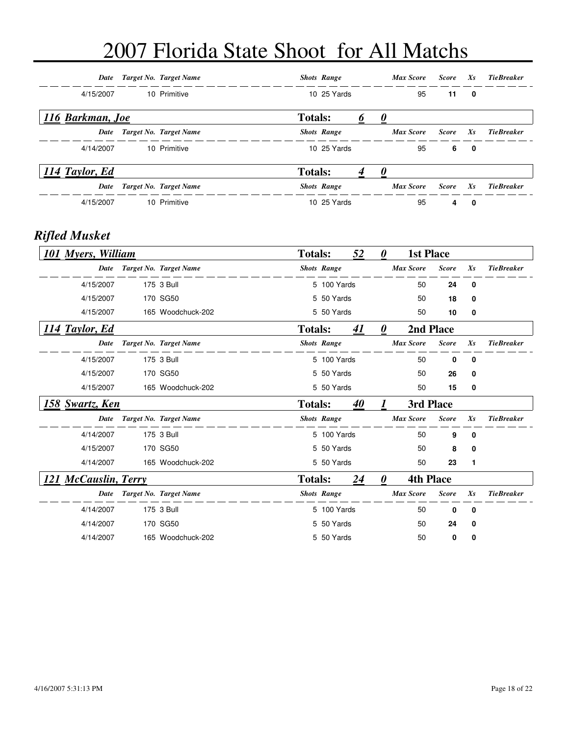| Date             | Target No. Target Name |                | <b>Shots Range</b> | <b>Max Score</b> | <b>Score</b> | $X_{S}$     | Tie Breaker       |
|------------------|------------------------|----------------|--------------------|------------------|--------------|-------------|-------------------|
| 4/15/2007        | 10 Primitive           |                | 10 25 Yards        | 95               | 11           | $\mathbf 0$ |                   |
| 116 Barkman, Joe |                        | <b>Totals:</b> |                    | U                |              |             |                   |
| Date             | Target No. Target Name |                | <b>Shots Range</b> | <b>Max Score</b> | <b>Score</b> | $X_{S}$     | <b>TieBreaker</b> |
| 4/14/2007        | 10 Primitive           |                | 10 25 Yards        | 95               | 6            | 0           |                   |
| 114 Taylor, Ed   |                        | <b>Totals:</b> |                    |                  |              |             |                   |
| Date             | Target No. Target Name |                | <b>Shots Range</b> | <b>Max Score</b> | <b>Score</b> | $X_{S}$     | <b>TieBreaker</b> |
| 4/15/2007        | 10 Primitive           |                | 10 25 Yards        | 95               | 4            | 0           |                   |

#### *Rifled Musket*

| <b>101 Myers, William</b> |                        | <b>Totals:</b> |                    | 52 | 0 | <b>1st Place</b> |              |          |                   |
|---------------------------|------------------------|----------------|--------------------|----|---|------------------|--------------|----------|-------------------|
| Date                      | Target No. Target Name |                | <b>Shots Range</b> |    |   | <b>Max Score</b> | <b>Score</b> | $X_{S}$  | <b>TieBreaker</b> |
| 4/15/2007                 | 175 3 Bull             |                | 5 100 Yards        |    |   | 50               | 24           | 0        |                   |
| 4/15/2007                 | 170 SG50               |                | 5 50 Yards         |    |   | 50               | 18           | 0        |                   |
| 4/15/2007                 | 165 Woodchuck-202      |                | 5 50 Yards         |    |   | 50               | 10           | 0        |                   |
| 114 Taylor, Ed            |                        | <b>Totals:</b> |                    | 41 | 0 |                  | 2nd Place    |          |                   |
| Date                      | Target No. Target Name |                | <b>Shots Range</b> |    |   | <b>Max Score</b> | <b>Score</b> | $X_{S}$  | <b>TieBreaker</b> |
| 4/15/2007                 | 175 3 Bull             |                | 5 100 Yards        |    |   | 50               | 0            | $\bf{0}$ |                   |
| 4/15/2007                 | 170 SG50               |                | 5 50 Yards         |    |   | 50               | 26           | 0        |                   |
| 4/15/2007                 | 165 Woodchuck-202      |                | 5 50 Yards         |    |   | 50               | 15           | 0        |                   |
| 158 Swartz, Ken           |                        | <b>Totals:</b> |                    | 40 |   | 3rd Place        |              |          |                   |
| Date                      | Target No. Target Name |                | <b>Shots Range</b> |    |   | <b>Max Score</b> | <b>Score</b> | $X_{S}$  | <b>TieBreaker</b> |
| 4/14/2007                 | 175 3 Bull             |                | 5 100 Yards        |    |   | 50               | 9            | 0        |                   |
| 4/15/2007                 | 170 SG50               |                | 5 50 Yards         |    |   | 50               | 8            | 0        |                   |
| 4/14/2007                 | 165 Woodchuck-202      |                | 5 50 Yards         |    |   | 50               | 23           | 1        |                   |
| 121 McCauslin, Terry      |                        | <b>Totals:</b> |                    | 24 | 0 | <b>4th Place</b> |              |          |                   |
| Date                      | Target No. Target Name |                | <b>Shots Range</b> |    |   | <b>Max Score</b> | <b>Score</b> | $X_{S}$  | <b>TieBreaker</b> |
| 4/14/2007                 | 175 3 Bull             |                | 5 100 Yards        |    |   | 50               | 0            | 0        |                   |
| 4/14/2007                 | 170 SG50               |                | 5 50 Yards         |    |   | 50               | 24           | 0        |                   |
| 4/14/2007                 | 165 Woodchuck-202      |                | 5 50 Yards         |    |   | 50               | 0            | 0        |                   |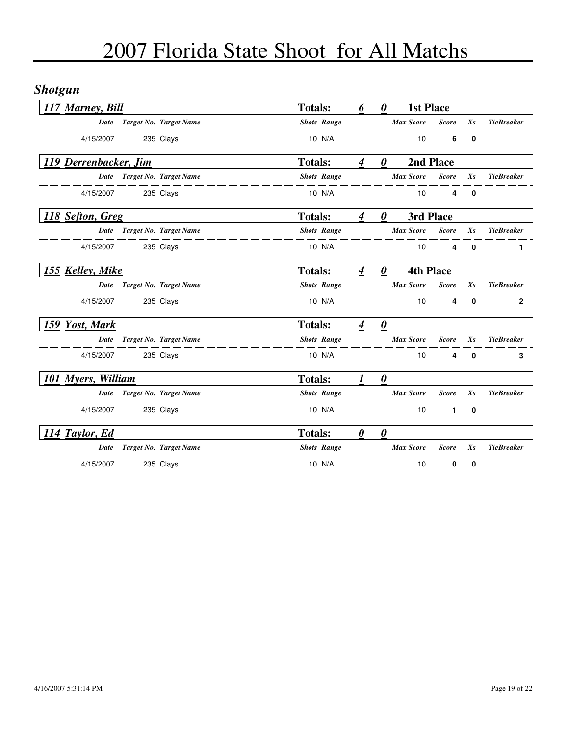## *Shotgun*

| 117 Marney, Bill      |                             | <b>Totals:</b>     | 6                | $\boldsymbol{\theta}$ |                  | <b>1st Place</b> |              |                   |
|-----------------------|-----------------------------|--------------------|------------------|-----------------------|------------------|------------------|--------------|-------------------|
| Date                  | Target No. Target Name      | <b>Shots Range</b> |                  |                       | <b>Max Score</b> | <b>Score</b>     | $X_{S}$      | <b>TieBreaker</b> |
| 4/15/2007             | 235 Clays                   | 10 N/A             |                  |                       | 10               | 6                | 0            |                   |
| 119 Derrenbacker, Jim |                             | <b>Totals:</b>     | $\boldsymbol{4}$ | 0                     |                  | 2nd Place        |              |                   |
|                       | Date Target No. Target Name | <b>Shots Range</b> |                  |                       | <b>Max Score</b> | <b>Score</b>     | Xs           | <b>TieBreaker</b> |
| 4/15/2007             | 235 Clays                   | 10 N/A             |                  |                       | 10               | 4                | 0            |                   |
| 118 Sefton, Greg      |                             | <b>Totals:</b>     | 4                | $\boldsymbol{\theta}$ |                  | 3rd Place        |              |                   |
| Date                  | Target No. Target Name      | <b>Shots Range</b> |                  |                       | <b>Max Score</b> | <b>Score</b>     | $X_{S}$      | <b>TieBreaker</b> |
| 4/15/2007             | 235 Clays                   | 10 N/A             |                  |                       | 10               | 4                | 0            | 1                 |
| 155 Kelley, Mike      |                             | <b>Totals:</b>     | $\overline{4}$   | $\boldsymbol{\theta}$ |                  | <b>4th Place</b> |              |                   |
|                       | Date Target No. Target Name | <b>Shots Range</b> |                  |                       | <b>Max Score</b> | <b>Score</b>     | Xs           | <b>TieBreaker</b> |
| 4/15/2007             | 235 Clays                   | 10 N/A             |                  |                       | 10               | 4                | $\mathbf{0}$ | $\mathbf 2$       |
| 159 Yost, Mark        |                             | <b>Totals:</b>     | 4                | $\boldsymbol{\theta}$ |                  |                  |              |                   |
| Date                  | Target No. Target Name      | <b>Shots Range</b> |                  |                       | <b>Max Score</b> | <b>Score</b>     | $X_{S}$      | <b>TieBreaker</b> |
| 4/15/2007             | 235 Clays                   | 10 N/A             |                  |                       | 10               | 4                | $\mathbf{0}$ | 3                 |
| 101 Myers, William    |                             | <b>Totals:</b>     |                  | $\boldsymbol{\theta}$ |                  |                  |              |                   |
|                       | Date Target No. Target Name | <b>Shots Range</b> |                  |                       | <b>Max Score</b> | <b>Score</b>     | $X_{S}$      | <b>TieBreaker</b> |
| 4/15/2007             | 235 Clays                   | 10 N/A             |                  |                       | 10               | $\mathbf{1}$     | $\mathbf 0$  |                   |
| 114 Taylor, Ed        |                             | <b>Totals:</b>     | 0                | $\boldsymbol{\theta}$ |                  |                  |              |                   |
| Date                  | Target No. Target Name      | <b>Shots Range</b> |                  |                       | <b>Max Score</b> | <b>Score</b>     | $X_{S}$      | <b>TieBreaker</b> |
| 4/15/2007             | 235 Clays                   | 10 N/A             |                  |                       | 10               | 0                | 0            |                   |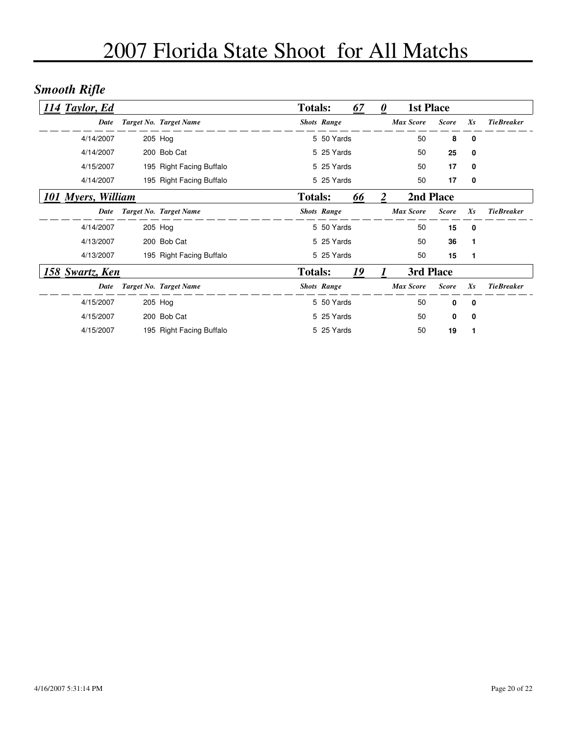## *Smooth Rifle*

| 114 Taylor, Ed     |                          | <b>Totals:</b> |                    | 67 | $\theta$ | <b>1st Place</b> |              |         |                   |
|--------------------|--------------------------|----------------|--------------------|----|----------|------------------|--------------|---------|-------------------|
| Date               | Target No. Target Name   |                | <b>Shots Range</b> |    |          | <b>Max Score</b> | <b>Score</b> | $X_{S}$ | <b>TieBreaker</b> |
| 4/14/2007          | 205 Hog                  |                | 5 50 Yards         |    |          | 50               | 8            | 0       |                   |
| 4/14/2007          | 200 Bob Cat              |                | 5 25 Yards         |    |          | 50               | 25           | 0       |                   |
| 4/15/2007          | 195 Right Facing Buffalo |                | 5 25 Yards         |    |          | 50               | 17           | 0       |                   |
| 4/14/2007          | 195 Right Facing Buffalo |                | 5 25 Yards         |    |          | 50               | 17           | 0       |                   |
| 101 Myers, William |                          | <b>Totals:</b> |                    | 66 | 2        | 2nd Place        |              |         |                   |
| Date               | Target No. Target Name   |                | <b>Shots Range</b> |    |          | <b>Max Score</b> | <b>Score</b> | $X_{S}$ | <b>TieBreaker</b> |
| 4/14/2007          | 205 Hog                  |                | 5 50 Yards         |    |          | 50               | 15           | 0       |                   |
| 4/13/2007          | 200 Bob Cat              |                | 5 25 Yards         |    |          | 50               | 36           | 1       |                   |
| 4/13/2007          | 195 Right Facing Buffalo |                | 5 25 Yards         |    |          | 50               | 15           | 1       |                   |
| 158 Swartz, Ken    |                          | <b>Totals:</b> |                    | 19 |          | 3rd Place        |              |         |                   |
| Date               | Target No. Target Name   |                | <b>Shots Range</b> |    |          | <b>Max Score</b> | <b>Score</b> | $X_{S}$ | <b>TieBreaker</b> |
| 4/15/2007          | 205 Hog                  |                | 5 50 Yards         |    |          | 50               | $\mathbf{0}$ | 0       |                   |
| 4/15/2007          | 200 Bob Cat              |                | 5 25 Yards         |    |          | 50               | 0            | 0       |                   |
| 4/15/2007          | 195 Right Facing Buffalo |                | 5 25 Yards         |    |          | 50               | 19           |         |                   |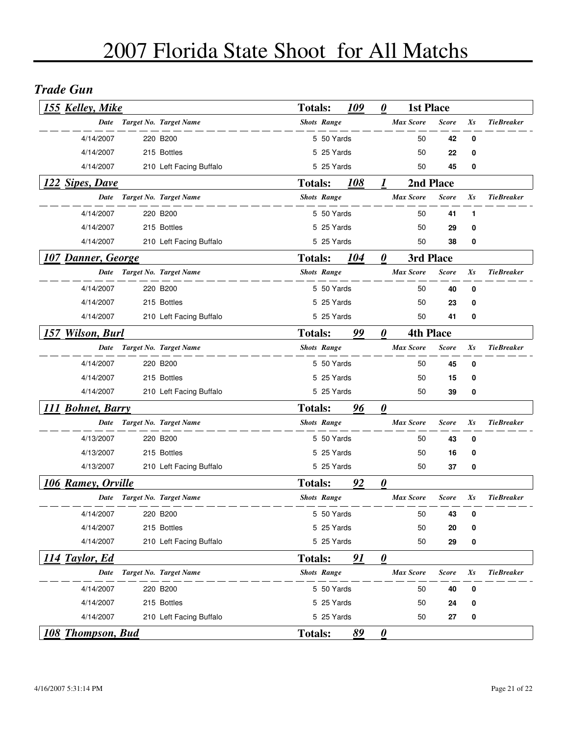#### *Trade Gun*

| 155 Kelley, Mike          |  |                             |                | 109<br><b>Totals:</b> |                       | <b>1st Place</b><br>0 |                  |              |         |                   |
|---------------------------|--|-----------------------------|----------------|-----------------------|-----------------------|-----------------------|------------------|--------------|---------|-------------------|
|                           |  | Date Target No. Target Name |                | <b>Shots Range</b>    |                       |                       | <b>Max Score</b> | <b>Score</b> | Xs      | <b>TieBreaker</b> |
| 4/14/2007                 |  | 220 B200                    |                | 5 50 Yards            |                       |                       | 50               | 42           | 0       |                   |
| 4/14/2007                 |  | 215 Bottles                 |                | 5 25 Yards            |                       |                       | 50               | 22           | 0       |                   |
| 4/14/2007                 |  | 210 Left Facing Buffalo     |                | 5 25 Yards            |                       |                       | 50               | 45           | 0       |                   |
| 122 Sipes, Dave           |  |                             | <b>Totals:</b> |                       | 108                   | 1                     | 2nd Place        |              |         |                   |
| Date                      |  | Target No. Target Name      |                | <b>Shots Range</b>    |                       |                       | <b>Max Score</b> | <b>Score</b> | Xs      | <b>TieBreaker</b> |
| 4/14/2007                 |  | 220 B200                    |                | 5 50 Yards            |                       |                       | 50               | 41           | 1       |                   |
| 4/14/2007                 |  | 215 Bottles                 |                | 5 25 Yards            |                       |                       | 50               | 29           | 0       |                   |
| 4/14/2007                 |  | 210 Left Facing Buffalo     |                | 5 25 Yards            |                       |                       | 50               | 38           | 0       |                   |
| <b>107 Danner, George</b> |  |                             | <b>Totals:</b> |                       | 104                   | 0                     | 3rd Place        |              |         |                   |
|                           |  | Date Target No. Target Name |                | <b>Shots Range</b>    |                       |                       | <b>Max Score</b> | <b>Score</b> | Xs      | <b>TieBreaker</b> |
| 4/14/2007                 |  | 220 B200                    |                | 5 50 Yards            |                       |                       | 50               | 40           | 0       |                   |
| 4/14/2007                 |  | 215 Bottles                 |                | 5 25 Yards            |                       |                       | 50               | 23           | 0       |                   |
| 4/14/2007                 |  | 210 Left Facing Buffalo     |                | 5 25 Yards            |                       |                       | 50               | 41           | 0       |                   |
| 157 Wilson, Burl          |  | <b>Totals:</b>              |                | 99                    | $\boldsymbol{\theta}$ | <b>4th Place</b>      |                  |              |         |                   |
| Date                      |  | Target No. Target Name      |                | <b>Shots Range</b>    |                       |                       | <b>Max Score</b> | <b>Score</b> | $X_{S}$ | <b>TieBreaker</b> |
| 4/14/2007                 |  | 220 B200                    |                | 5 50 Yards            |                       |                       | 50               | 45           | 0       |                   |
| 4/14/2007                 |  | 215 Bottles                 |                | 5 25 Yards            |                       |                       | 50               | 15           | 0       |                   |
| 4/14/2007                 |  | 210 Left Facing Buffalo     |                | 5 25 Yards            |                       |                       | 50               | 39           | 0       |                   |
| 111 Bohnet, Barry         |  |                             | <b>Totals:</b> |                       | 96                    | $\boldsymbol{\theta}$ |                  |              |         |                   |
|                           |  | Date Target No. Target Name |                | <b>Shots Range</b>    |                       |                       | <b>Max Score</b> | <b>Score</b> | Xs      | <b>TieBreaker</b> |
| 4/13/2007                 |  | 220 B200                    |                | 5 50 Yards            |                       |                       | 50               | 43           | 0       |                   |
| 4/13/2007                 |  | 215 Bottles                 |                | 5 25 Yards            |                       |                       | 50               | 16           | 0       |                   |
| 4/13/2007                 |  | 210 Left Facing Buffalo     |                | 5 25 Yards            |                       |                       | 50               | 37           | 0       |                   |
| 106 Ramey, Orville        |  |                             | <b>Totals:</b> |                       | 92                    | $\boldsymbol{\theta}$ |                  |              |         |                   |
|                           |  | Date Target No. Target Name |                | <b>Shots Range</b>    |                       |                       | <b>Max Score</b> | <b>Score</b> | Xs      | <b>TieBreaker</b> |
| 4/14/2007                 |  | 220 B <sub>200</sub>        |                | 5 50 Yards            |                       |                       | 50               | 43           | - 0     |                   |
| 4/14/2007                 |  | 215 Bottles                 |                | 5 25 Yards            |                       |                       | 50               | 20           | 0       |                   |
| 4/14/2007                 |  | 210 Left Facing Buffalo     |                | 5 25 Yards            |                       |                       | 50               | 29           | 0       |                   |
| 114 Taylor, Ed            |  |                             | <b>Totals:</b> |                       | 91                    | $\boldsymbol{\theta}$ |                  |              |         |                   |
| Date                      |  | Target No. Target Name      |                | <b>Shots Range</b>    |                       |                       | <b>Max Score</b> | <b>Score</b> | $X_{S}$ | <b>TieBreaker</b> |
| 4/14/2007                 |  | 220 B200                    |                | 5 50 Yards            |                       |                       | 50               | 40           | 0       |                   |
| 4/14/2007                 |  | 215 Bottles                 |                | 5 25 Yards            |                       |                       | 50               | 24           | 0       |                   |
| 4/14/2007                 |  | 210 Left Facing Buffalo     |                | 5 25 Yards            |                       |                       | 50               | 27           | 0       |                   |
| 108 Thompson, Bud         |  |                             | <b>Totals:</b> |                       | 89                    | $\boldsymbol{\theta}$ |                  |              |         |                   |